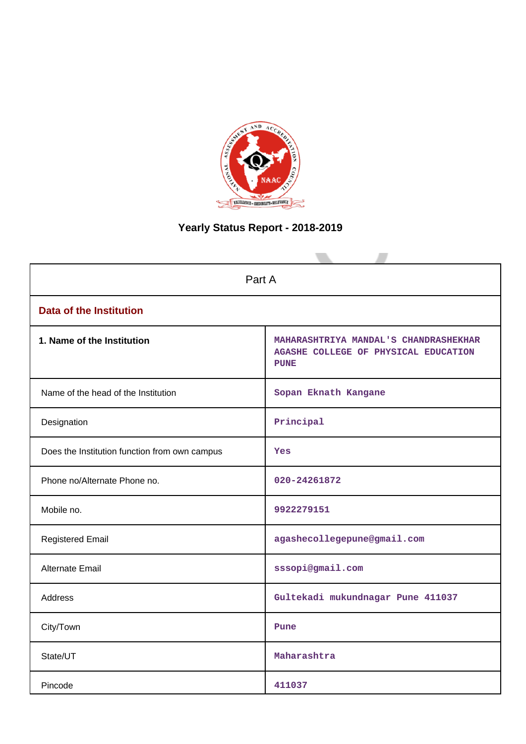

# **Yearly Status Report - 2018-2019**

| Part A                                        |                                                                                              |  |  |
|-----------------------------------------------|----------------------------------------------------------------------------------------------|--|--|
| <b>Data of the Institution</b>                |                                                                                              |  |  |
| 1. Name of the Institution                    | MAHARASHTRIYA MANDAL'S CHANDRASHEKHAR<br>AGASHE COLLEGE OF PHYSICAL EDUCATION<br><b>PUNE</b> |  |  |
| Name of the head of the Institution           | Sopan Eknath Kangane                                                                         |  |  |
| Designation                                   | Principal                                                                                    |  |  |
| Does the Institution function from own campus | Yes                                                                                          |  |  |
| Phone no/Alternate Phone no.                  | 020-24261872                                                                                 |  |  |
| Mobile no.                                    | 9922279151                                                                                   |  |  |
| <b>Registered Email</b>                       | agashecollegepune@gmail.com                                                                  |  |  |
| Alternate Email                               | sssopi@gmail.com                                                                             |  |  |
| <b>Address</b>                                | Gultekadi mukundnagar Pune 411037                                                            |  |  |
| City/Town                                     | Pune                                                                                         |  |  |
| State/UT                                      | Maharashtra                                                                                  |  |  |
| Pincode                                       | 411037                                                                                       |  |  |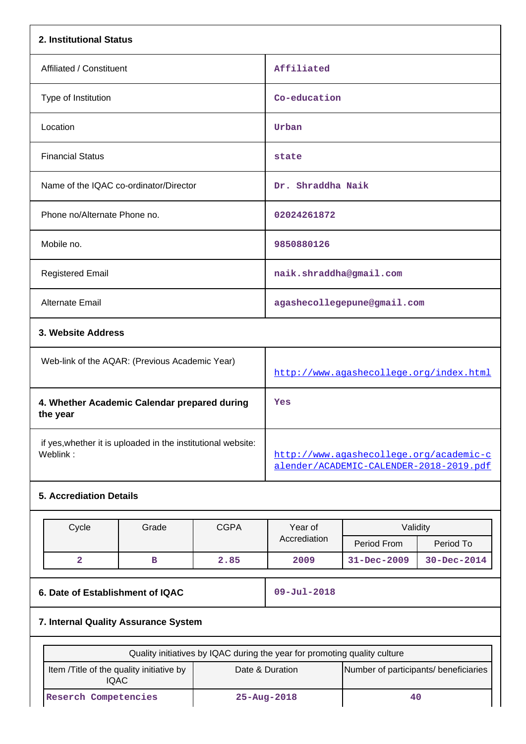| 2. Institutional Status                                  |                                                              |                             |                                                                                    |              |                   |  |
|----------------------------------------------------------|--------------------------------------------------------------|-----------------------------|------------------------------------------------------------------------------------|--------------|-------------------|--|
| Affiliated / Constituent                                 |                                                              | Affiliated                  |                                                                                    |              |                   |  |
| Type of Institution                                      |                                                              |                             |                                                                                    | Co-education |                   |  |
| Location                                                 |                                                              | Urban                       |                                                                                    |              |                   |  |
| <b>Financial Status</b>                                  |                                                              |                             | state                                                                              |              |                   |  |
|                                                          | Name of the IQAC co-ordinator/Director                       |                             | Dr. Shraddha Naik                                                                  |              |                   |  |
| Phone no/Alternate Phone no.                             |                                                              |                             | 02024261872                                                                        |              |                   |  |
| Mobile no.                                               |                                                              |                             | 9850880126                                                                         |              |                   |  |
| <b>Registered Email</b>                                  |                                                              |                             | naik.shraddha@gmail.com                                                            |              |                   |  |
| <b>Alternate Email</b>                                   |                                                              | agashecollegepune@gmail.com |                                                                                    |              |                   |  |
| 3. Website Address                                       |                                                              |                             |                                                                                    |              |                   |  |
| Web-link of the AQAR: (Previous Academic Year)           |                                                              |                             | http://www.aqashecollege.org/index.html                                            |              |                   |  |
| 4. Whether Academic Calendar prepared during<br>the year |                                                              |                             | Yes                                                                                |              |                   |  |
| Weblink:                                                 | if yes, whether it is uploaded in the institutional website: |                             | http://www.agashecollege.org/academic-c<br>alender/ACADEMIC-CALENDER-2018-2019.pdf |              |                   |  |
| <b>5. Accrediation Details</b>                           |                                                              |                             |                                                                                    |              |                   |  |
| <b>CGPA</b><br>Cycle<br>Grade                            |                                                              |                             | Year of                                                                            | Validity     |                   |  |
|                                                          |                                                              |                             | Accrediation                                                                       | Period From  | Period To         |  |
| $\overline{2}$                                           | $\, {\bf B}$                                                 | 2.85                        | 2009                                                                               | 31-Dec-2009  | $30 - Dec - 2014$ |  |
| 6. Date of Establishment of IQAC                         |                                                              |                             | $09 - Jul - 2018$                                                                  |              |                   |  |
| 7. Internal Quality Assurance System                     |                                                              |                             |                                                                                    |              |                   |  |

| Quality initiatives by IQAC during the year for promoting quality culture                                           |                   |    |  |  |
|---------------------------------------------------------------------------------------------------------------------|-------------------|----|--|--|
| Number of participants/ beneficiaries<br>Item /Title of the quality initiative by<br>Date & Duration<br><b>IQAC</b> |                   |    |  |  |
| Reserch Competencies                                                                                                | $25 - Aug - 2018$ | 40 |  |  |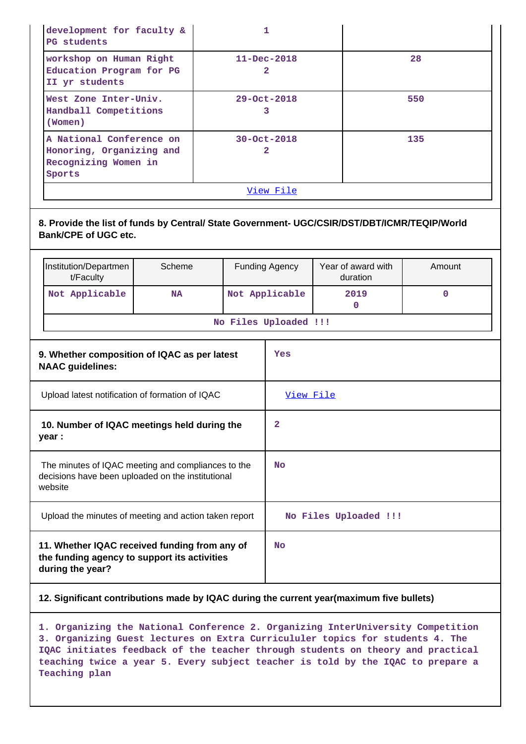| development for faculty &<br>PG students                                               |                        |     |  |
|----------------------------------------------------------------------------------------|------------------------|-----|--|
| workshop on Human Right<br>Education Program for PG<br>II yr students                  | $11 - Dec - 2018$<br>2 | 28  |  |
| West Zone Inter-Univ.<br>Handball Competitions<br>(Women)                              | $29 - Oct - 2018$      | 550 |  |
| A National Conference on<br>Honoring, Organizing and<br>Recognizing Women in<br>Sports | $30 - Oct - 2018$<br>2 | 135 |  |
| View File                                                                              |                        |     |  |

**8. Provide the list of funds by Central/ State Government- UGC/CSIR/DST/DBT/ICMR/TEQIP/World Bank/CPE of UGC etc.**

| Institution/Departmen<br>t/Faculty | Scheme    | <b>Funding Agency</b> | Year of award with<br>duration | Amount |
|------------------------------------|-----------|-----------------------|--------------------------------|--------|
| Not Applicable                     | <b>NA</b> | 2019                  |                                |        |
| No Files Uploaded !!!              |           |                       |                                |        |

| 9. Whether composition of IQAC as per latest<br><b>NAAC</b> guidelines:                                            | Yes                   |
|--------------------------------------------------------------------------------------------------------------------|-----------------------|
| Upload latest notification of formation of IQAC                                                                    | View File             |
| 10. Number of IQAC meetings held during the<br>year :                                                              | 2                     |
| The minutes of IQAC meeting and compliances to the<br>decisions have been uploaded on the institutional<br>website | <b>No</b>             |
| Upload the minutes of meeting and action taken report                                                              | No Files Uploaded !!! |
| 11. Whether IQAC received funding from any of<br>the funding agency to support its activities<br>during the year?  | <b>No</b>             |

### **12. Significant contributions made by IQAC during the current year(maximum five bullets)**

**1. Organizing the National Conference 2. Organizing InterUniversity Competition 3. Organizing Guest lectures on Extra Curricululer topics for students 4. The IQAC initiates feedback of the teacher through students on theory and practical teaching twice a year 5. Every subject teacher is told by the IQAC to prepare a Teaching plan**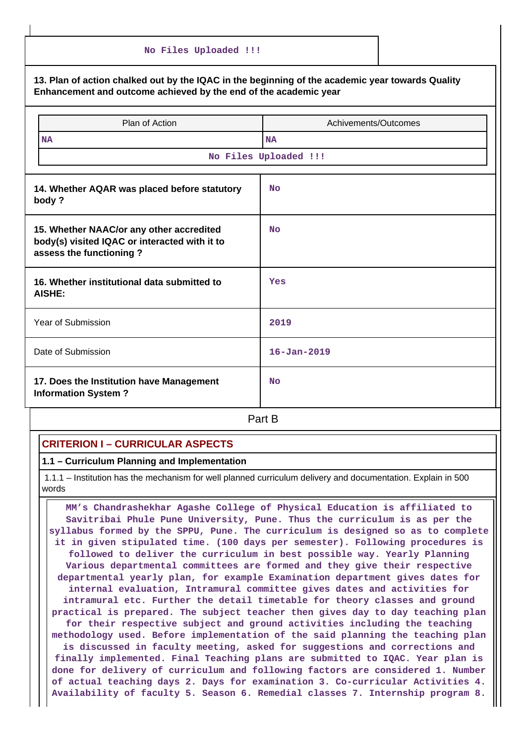| No Files Uploaded !!!                                                                                                                                                |                       |  |  |  |
|----------------------------------------------------------------------------------------------------------------------------------------------------------------------|-----------------------|--|--|--|
| 13. Plan of action chalked out by the IQAC in the beginning of the academic year towards Quality<br>Enhancement and outcome achieved by the end of the academic year |                       |  |  |  |
| Plan of Action<br>Achivements/Outcomes                                                                                                                               |                       |  |  |  |
| <b>NA</b>                                                                                                                                                            | <b>NA</b>             |  |  |  |
|                                                                                                                                                                      | No Files Uploaded !!! |  |  |  |
| 14. Whether AQAR was placed before statutory<br><b>No</b><br>body?                                                                                                   |                       |  |  |  |
| 15. Whether NAAC/or any other accredited<br>body(s) visited IQAC or interacted with it to<br>assess the functioning?                                                 | <b>No</b>             |  |  |  |
| 16. Whether institutional data submitted to<br><b>AISHE:</b>                                                                                                         | Yes                   |  |  |  |
| Year of Submission                                                                                                                                                   | 2019                  |  |  |  |
| Date of Submission                                                                                                                                                   | $16 - Jan - 2019$     |  |  |  |
| 17. Does the Institution have Management<br><b>Information System?</b>                                                                                               | <b>No</b>             |  |  |  |
|                                                                                                                                                                      | Part B                |  |  |  |

# **CRITERION I – CURRICULAR ASPECTS**

**1.1 – Curriculum Planning and Implementation**

 1.1.1 – Institution has the mechanism for well planned curriculum delivery and documentation. Explain in 500 words

 **MM's Chandrashekhar Agashe College of Physical Education is affiliated to Savitribai Phule Pune University, Pune. Thus the curriculum is as per the syllabus formed by the SPPU, Pune. The curriculum is designed so as to complete it in given stipulated time. (100 days per semester). Following procedures is followed to deliver the curriculum in best possible way. Yearly Planning Various departmental committees are formed and they give their respective departmental yearly plan, for example Examination department gives dates for internal evaluation, Intramural committee gives dates and activities for intramural etc. Further the detail timetable for theory classes and ground practical is prepared. The subject teacher then gives day to day teaching plan for their respective subject and ground activities including the teaching methodology used. Before implementation of the said planning the teaching plan is discussed in faculty meeting, asked for suggestions and corrections and finally implemented. Final Teaching plans are submitted to IQAC. Year plan is done for delivery of curriculum and following factors are considered 1. Number of actual teaching days 2. Days for examination 3. Co-curricular Activities 4. Availability of faculty 5. Season 6. Remedial classes 7. Internship program 8.**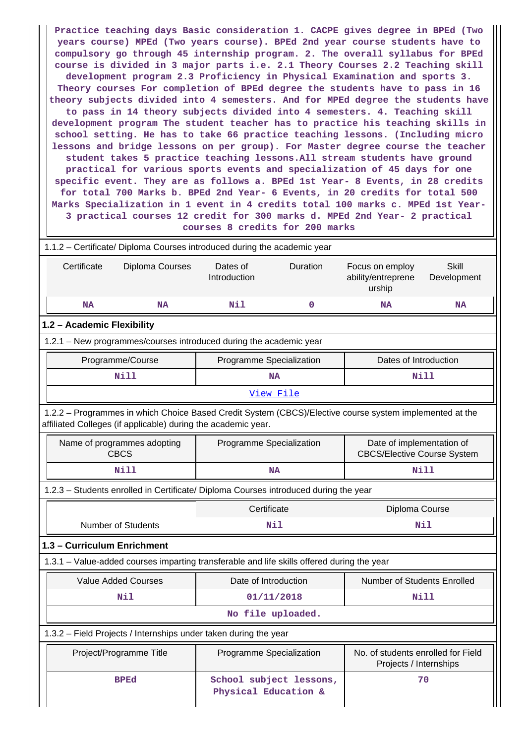**Practice teaching days Basic consideration 1. CACPE gives degree in BPEd (Two years course) MPEd (Two years course). BPEd 2nd year course students have to compulsory go through 45 internship program. 2. The overall syllabus for BPEd course is divided in 3 major parts i.e. 2.1 Theory Courses 2.2 Teaching skill development program 2.3 Proficiency in Physical Examination and sports 3. Theory courses For completion of BPEd degree the students have to pass in 16 theory subjects divided into 4 semesters. And for MPEd degree the students have to pass in 14 theory subjects divided into 4 semesters. 4. Teaching skill development program The student teacher has to practice his teaching skills in school setting. He has to take 66 practice teaching lessons. (Including micro lessons and bridge lessons on per group). For Master degree course the teacher student takes 5 practice teaching lessons.All stream students have ground practical for various sports events and specialization of 45 days for one specific event. They are as follows a. BPEd 1st Year- 8 Events, in 28 credits for total 700 Marks b. BPEd 2nd Year- 6 Events, in 20 credits for total 500 Marks Specialization in 1 event in 4 credits total 100 marks c. MPEd 1st Year-3 practical courses 12 credit for 300 marks d. MPEd 2nd Year- 2 practical courses 8 credits for 200 marks**

| 1.1.2 - Certificate/ Diploma Courses introduced during the academic year                                                                                                 |                                                   |             |                                                                 |                             |  |  |  |  |
|--------------------------------------------------------------------------------------------------------------------------------------------------------------------------|---------------------------------------------------|-------------|-----------------------------------------------------------------|-----------------------------|--|--|--|--|
| Diploma Courses<br>Certificate                                                                                                                                           | Dates of<br>Introduction                          | Duration    | Focus on employ<br>ability/entreprene<br>urship                 | <b>Skill</b><br>Development |  |  |  |  |
| <b>NA</b><br><b>NA</b>                                                                                                                                                   | Nil                                               | $\mathbf 0$ | <b>NA</b>                                                       | <b>NA</b>                   |  |  |  |  |
| 1.2 - Academic Flexibility                                                                                                                                               |                                                   |             |                                                                 |                             |  |  |  |  |
| 1.2.1 - New programmes/courses introduced during the academic year                                                                                                       |                                                   |             |                                                                 |                             |  |  |  |  |
| Programme/Course                                                                                                                                                         | Dates of Introduction<br>Programme Specialization |             |                                                                 |                             |  |  |  |  |
| <b>Nill</b>                                                                                                                                                              | <b>NA</b>                                         |             | <b>Nill</b>                                                     |                             |  |  |  |  |
|                                                                                                                                                                          | View File                                         |             |                                                                 |                             |  |  |  |  |
| 1.2.2 - Programmes in which Choice Based Credit System (CBCS)/Elective course system implemented at the<br>affiliated Colleges (if applicable) during the academic year. |                                                   |             |                                                                 |                             |  |  |  |  |
| Name of programmes adopting<br><b>CBCS</b>                                                                                                                               | Programme Specialization                          |             | Date of implementation of<br><b>CBCS/Elective Course System</b> |                             |  |  |  |  |
| <b>Nill</b>                                                                                                                                                              | <b>NA</b>                                         |             | <b>Nill</b>                                                     |                             |  |  |  |  |
| 1.2.3 - Students enrolled in Certificate/ Diploma Courses introduced during the year                                                                                     |                                                   |             |                                                                 |                             |  |  |  |  |
|                                                                                                                                                                          | Certificate                                       |             | Diploma Course                                                  |                             |  |  |  |  |
| <b>Number of Students</b>                                                                                                                                                | Nil                                               |             | Nil                                                             |                             |  |  |  |  |
| 1.3 - Curriculum Enrichment                                                                                                                                              |                                                   |             |                                                                 |                             |  |  |  |  |
| 1.3.1 - Value-added courses imparting transferable and life skills offered during the year                                                                               |                                                   |             |                                                                 |                             |  |  |  |  |
| <b>Value Added Courses</b>                                                                                                                                               | Date of Introduction                              |             | Number of Students Enrolled                                     |                             |  |  |  |  |
| Nil                                                                                                                                                                      | 01/11/2018                                        |             | Nill                                                            |                             |  |  |  |  |
|                                                                                                                                                                          | No file uploaded.                                 |             |                                                                 |                             |  |  |  |  |
| 1.3.2 - Field Projects / Internships under taken during the year                                                                                                         |                                                   |             |                                                                 |                             |  |  |  |  |
| Project/Programme Title                                                                                                                                                  | Programme Specialization                          |             | No. of students enrolled for Field<br>Projects / Internships    |                             |  |  |  |  |
| <b>BPEd</b>                                                                                                                                                              | School subject lessons,<br>Physical Education &   |             | 70                                                              |                             |  |  |  |  |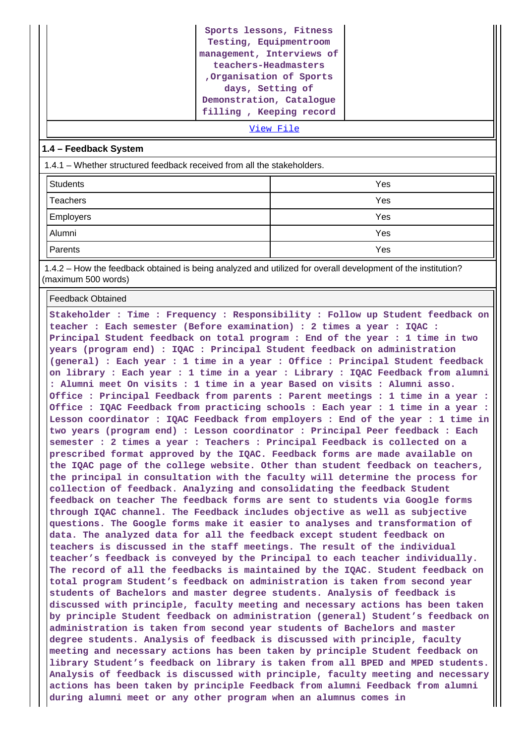| Sports lessons, Fitness   |
|---------------------------|
| Testing, Equipmentroom    |
| management, Interviews of |
| teachers-Headmasters      |
| Organisation of Sports    |
| days, Setting of          |
| Demonstration, Catalogue  |
| filling, Keeping record   |

[View File](https://assessmentonline.naac.gov.in/public/Postacc/Projects_undertaken/6959_Projects_undertaken_1609486920.xls)

#### **1.4 – Feedback System**

1.4.1 – Whether structured feedback received from all the stakeholders.

| <b>Students</b> | Yes |
|-----------------|-----|
| Teachers        | Yes |
| Employers       | Yes |
| Alumni          | Yes |
| Parents         | Yes |

 1.4.2 – How the feedback obtained is being analyzed and utilized for overall development of the institution? (maximum 500 words)

Feedback Obtained

**Stakeholder : Time : Frequency : Responsibility : Follow up Student feedback on teacher : Each semester (Before examination) : 2 times a year : IQAC : Principal Student feedback on total program : End of the year : 1 time in two years (program end) : IQAC : Principal Student feedback on administration (general) : Each year : 1 time in a year : Office : Principal Student feedback on library : Each year : 1 time in a year : Library : IQAC Feedback from alumni : Alumni meet On visits : 1 time in a year Based on visits : Alumni asso. Office : Principal Feedback from parents : Parent meetings : 1 time in a year : Office : IQAC Feedback from practicing schools : Each year : 1 time in a year : Lesson coordinator : IQAC Feedback from employers : End of the year : 1 time in two years (program end) : Lesson coordinator : Principal Peer feedback : Each semester : 2 times a year : Teachers : Principal Feedback is collected on a prescribed format approved by the IQAC. Feedback forms are made available on the IQAC page of the college website. Other than student feedback on teachers, the principal in consultation with the faculty will determine the process for collection of feedback. Analyzing and consolidating the feedback Student feedback on teacher The feedback forms are sent to students via Google forms through IQAC channel. The Feedback includes objective as well as subjective questions. The Google forms make it easier to analyses and transformation of data. The analyzed data for all the feedback except student feedback on teachers is discussed in the staff meetings. The result of the individual teacher's feedback is conveyed by the Principal to each teacher individually. The record of all the feedbacks is maintained by the IQAC. Student feedback on total program Student's feedback on administration is taken from second year students of Bachelors and master degree students. Analysis of feedback is discussed with principle, faculty meeting and necessary actions has been taken by principle Student feedback on administration (general) Student's feedback on administration is taken from second year students of Bachelors and master degree students. Analysis of feedback is discussed with principle, faculty meeting and necessary actions has been taken by principle Student feedback on library Student's feedback on library is taken from all BPED and MPED students. Analysis of feedback is discussed with principle, faculty meeting and necessary actions has been taken by principle Feedback from alumni Feedback from alumni during alumni meet or any other program when an alumnus comes in**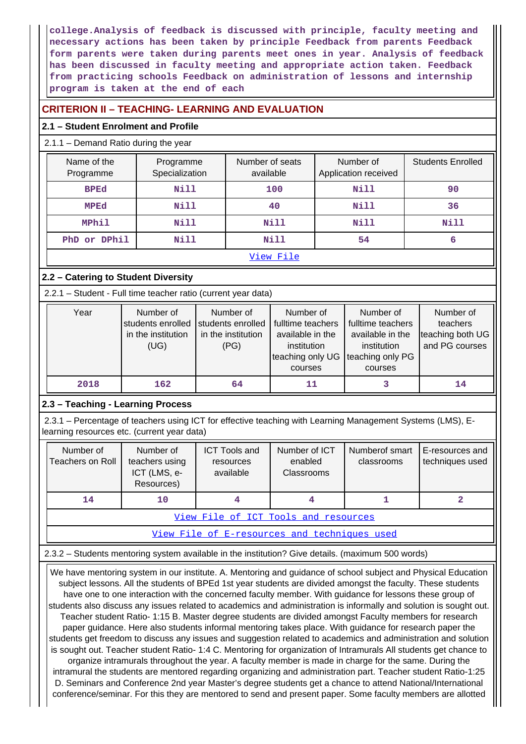**college.Analysis of feedback is discussed with principle, faculty meeting and necessary actions has been taken by principle Feedback from parents Feedback form parents were taken during parents meet ones in year. Analysis of feedback has been discussed in faculty meeting and appropriate action taken. Feedback from practicing schools Feedback on administration of lessons and internship program is taken at the end of each**

## **CRITERION II – TEACHING- LEARNING AND EVALUATION**

### **2.1 – Student Enrolment and Profile**

### 2.1.1 – Demand Ratio during the year

| Name of the<br>Programme | Programme<br>Specialization | Number of seats<br>available                                                                                                                                                                                                   | Number of<br>Application received | <b>Students Enrolled</b> |  |
|--------------------------|-----------------------------|--------------------------------------------------------------------------------------------------------------------------------------------------------------------------------------------------------------------------------|-----------------------------------|--------------------------|--|
| <b>BPEd</b>              | <b>Nill</b>                 | 100                                                                                                                                                                                                                            | <b>Nill</b>                       | 90                       |  |
| <b>MPEd</b>              | <b>Nill</b>                 | 40                                                                                                                                                                                                                             | <b>Nill</b>                       | 36                       |  |
| MPhil                    | <b>Nill</b>                 | Nill                                                                                                                                                                                                                           | <b>Nill</b>                       | <b>Nill</b>              |  |
| PhD or DPhil             | <b>Nill</b>                 | Nill                                                                                                                                                                                                                           | 54                                | 6                        |  |
|                          |                             | the state of the state of the state of the state of the state of the state of the state of the state of the state of the state of the state of the state of the state of the state of the state of the state of the state of t |                                   |                          |  |

#### [View File](https://assessmentonline.naac.gov.in/public/Postacc/Demand_ratio/6959_Demand_ratio_1609486998.xlsx)

### **2.2 – Catering to Student Diversity**

2.2.1 – Student - Full time teacher ratio (current year data)

| Year | Number of<br>students enrolled<br>in the institution<br>(UG) | Number of<br>students enrolled<br>in the institution<br>(PG) | Number of<br>fulltime teachers<br>available in the<br>institution<br>teaching only UG<br>courses | Number of<br>fulltime teachers<br>available in the<br>institution<br>teaching only PG<br>courses | Number of<br>teachers<br>teaching both UG<br>and PG courses |
|------|--------------------------------------------------------------|--------------------------------------------------------------|--------------------------------------------------------------------------------------------------|--------------------------------------------------------------------------------------------------|-------------------------------------------------------------|
| 2018 | 162                                                          | 64                                                           | 11                                                                                               |                                                                                                  | 14                                                          |

### **2.3 – Teaching - Learning Process**

 2.3.1 – Percentage of teachers using ICT for effective teaching with Learning Management Systems (LMS), Elearning resources etc. (current year data)

| Number of<br>Teachers on Roll        | Number of<br>teachers using<br>ICT (LMS, e-<br>Resources) | <b>ICT Tools and</b><br>resources<br>available | Number of ICT<br>enabled<br>Classrooms | Numberof smart<br>classrooms | E-resources and<br>techniques used |  |  |  |
|--------------------------------------|-----------------------------------------------------------|------------------------------------------------|----------------------------------------|------------------------------|------------------------------------|--|--|--|
| 14<br>10                             |                                                           |                                                |                                        |                              |                                    |  |  |  |
| View File of ICT Tools and resources |                                                           |                                                |                                        |                              |                                    |  |  |  |

[View File of E-resources and techniques used](https://assessmentonline.naac.gov.in/public/Postacc/e_resource/6959_e_resource_1609500457.xlsx)

2.3.2 – Students mentoring system available in the institution? Give details. (maximum 500 words)

 We have mentoring system in our institute. A. Mentoring and guidance of school subject and Physical Education subject lessons. All the students of BPEd 1st year students are divided amongst the faculty. These students have one to one interaction with the concerned faculty member. With guidance for lessons these group of students also discuss any issues related to academics and administration is informally and solution is sought out. Teacher student Ratio- 1:15 B. Master degree students are divided amongst Faculty members for research paper guidance. Here also students informal mentoring takes place. With guidance for research paper the students get freedom to discuss any issues and suggestion related to academics and administration and solution is sought out. Teacher student Ratio- 1:4 C. Mentoring for organization of Intramurals All students get chance to organize intramurals throughout the year. A faculty member is made in charge for the same. During the intramural the students are mentored regarding organizing and administration part. Teacher student Ratio-1:25 D. Seminars and Conference 2nd year Master's degree students get a chance to attend National/International conference/seminar. For this they are mentored to send and present paper. Some faculty members are allotted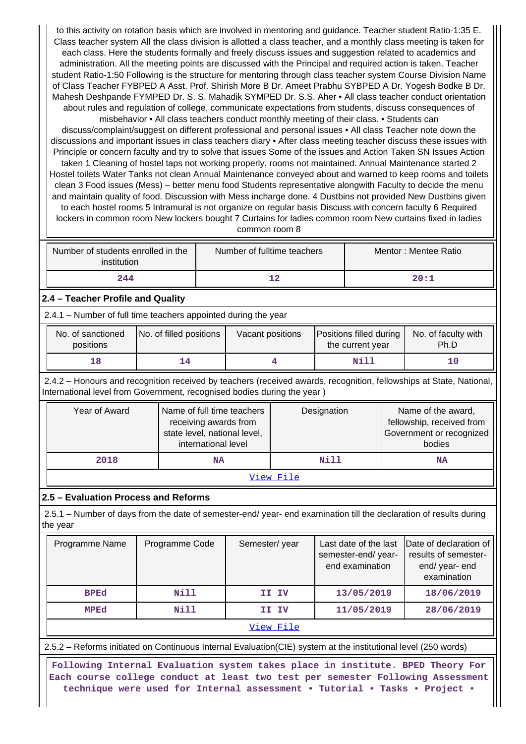to this activity on rotation basis which are involved in mentoring and guidance. Teacher student Ratio-1:35 E. Class teacher system All the class division is allotted a class teacher, and a monthly class meeting is taken for each class. Here the students formally and freely discuss issues and suggestion related to academics and administration. All the meeting points are discussed with the Principal and required action is taken. Teacher student Ratio-1:50 Following is the structure for mentoring through class teacher system Course Division Name of Class Teacher FYBPED A Asst. Prof. Shirish More B Dr. Ameet Prabhu SYBPED A Dr. Yogesh Bodke B Dr. Mahesh Deshpande FYMPED Dr. S. S. Mahadik SYMPED Dr. S.S. Aher • All class teacher conduct orientation about rules and regulation of college, communicate expectations from students, discuss consequences of

misbehavior • All class teachers conduct monthly meeting of their class. • Students can discuss/complaint/suggest on different professional and personal issues • All class Teacher note down the discussions and important issues in class teachers diary • After class meeting teacher discuss these issues with Principle or concern faculty and try to solve that issues Some of the issues and Action Taken SN Issues Action taken 1 Cleaning of hostel taps not working properly, rooms not maintained. Annual Maintenance started 2 Hostel toilets Water Tanks not clean Annual Maintenance conveyed about and warned to keep rooms and toilets clean 3 Food issues (Mess) – better menu food Students representative alongwith Faculty to decide the menu and maintain quality of food. Discussion with Mess incharge done. 4 Dustbins not provided New Dustbins given to each hostel rooms 5 Intramural is not organize on regular basis Discuss with concern faculty 6 Required lockers in common room New lockers bought 7 Curtains for ladies common room New curtains fixed in ladies common room 8

| Number of students enrolled in the<br>institution | Number of fulltime teachers | Mentor: Mentee Ratio |
|---------------------------------------------------|-----------------------------|----------------------|
| 244                                               | 12                          | 20:1                 |

### **2.4 – Teacher Profile and Quality**

2.4.1 – Number of full time teachers appointed during the year

| No. of filled positions<br>No. of sanctioned<br>positions |  | Vacant positions | Positions filled during<br>the current year | No. of faculty with<br>Ph.D |
|-----------------------------------------------------------|--|------------------|---------------------------------------------|-----------------------------|
| 18                                                        |  |                  | Nill                                        | 10                          |

 2.4.2 – Honours and recognition received by teachers (received awards, recognition, fellowships at State, National, International level from Government, recognised bodies during the year )

| Name of full time teachers<br>Year of Award<br>receiving awards from<br>state level, national level,<br>international level |           | Designation | Name of the award,<br>fellowship, received from<br>Government or recognized<br>bodies |  |  |  |  |  |
|-----------------------------------------------------------------------------------------------------------------------------|-----------|-------------|---------------------------------------------------------------------------------------|--|--|--|--|--|
| 2018                                                                                                                        | <b>NA</b> | Nill        | <b>NA</b>                                                                             |  |  |  |  |  |
| -- -<br>_ . -                                                                                                               |           |             |                                                                                       |  |  |  |  |  |

#### [View File](https://assessmentonline.naac.gov.in/public/Postacc/Honours_recieved/6959_Honours_recieved_1609500621.xlsx)

### **2.5 – Evaluation Process and Reforms**

 2.5.1 – Number of days from the date of semester-end/ year- end examination till the declaration of results during the year

| Programme Name | Programme Code | Semester/year | Last date of the last<br>semester-end/year-<br>end examination | Date of declaration of<br>results of semester-<br>end/ year- end<br>examination |
|----------------|----------------|---------------|----------------------------------------------------------------|---------------------------------------------------------------------------------|
| <b>BPEd</b>    | Nill           | II IV         | 13/05/2019                                                     | 18/06/2019                                                                      |
| <b>MPEd</b>    | Nill           | II IV         | 11/05/2019                                                     | 28/06/2019                                                                      |
|                |                | View File     |                                                                |                                                                                 |

2.5.2 – Reforms initiated on Continuous Internal Evaluation(CIE) system at the institutional level (250 words)

 **Following Internal Evaluation system takes place in institute. BPED Theory For Each course college conduct at least two test per semester Following Assessment technique were used for Internal assessment • Tutorial • Tasks • Project •**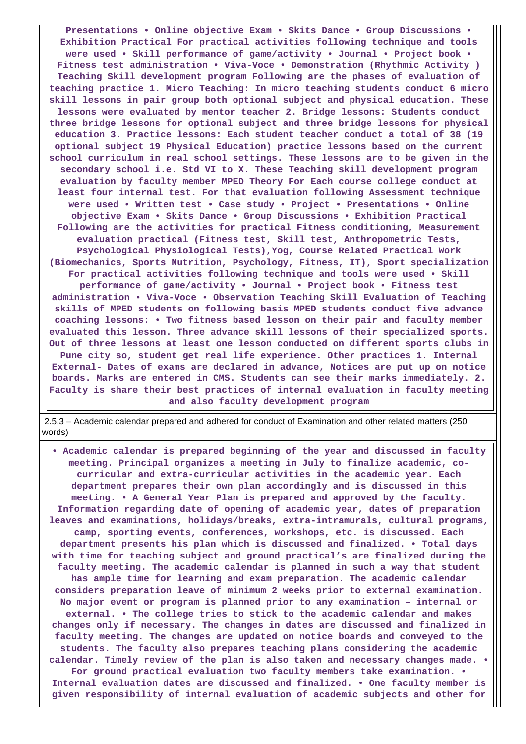**Presentations • Online objective Exam • Skits Dance • Group Discussions • Exhibition Practical For practical activities following technique and tools were used • Skill performance of game/activity • Journal • Project book • Fitness test administration • Viva-Voce • Demonstration (Rhythmic Activity ) Teaching Skill development program Following are the phases of evaluation of teaching practice 1. Micro Teaching: In micro teaching students conduct 6 micro skill lessons in pair group both optional subject and physical education. These lessons were evaluated by mentor teacher 2. Bridge lessons: Students conduct three bridge lessons for optional subject and three bridge lessons for physical education 3. Practice lessons: Each student teacher conduct a total of 38 (19 optional subject 19 Physical Education) practice lessons based on the current school curriculum in real school settings. These lessons are to be given in the secondary school i.e. Std VI to X. These Teaching skill development program evaluation by faculty member MPED Theory For Each course college conduct at least four internal test. For that evaluation following Assessment technique were used • Written test • Case study • Project • Presentations • Online objective Exam • Skits Dance • Group Discussions • Exhibition Practical Following are the activities for practical Fitness conditioning, Measurement evaluation practical (Fitness test, Skill test, Anthropometric Tests, Psychological Physiological Tests),Yog, Course Related Practical Work (Biomechanics, Sports Nutrition, Psychology, Fitness, IT), Sport specialization For practical activities following technique and tools were used • Skill performance of game/activity • Journal • Project book • Fitness test administration • Viva-Voce • Observation Teaching Skill Evaluation of Teaching skills of MPED students on following basis MPED students conduct five advance coaching lessons: • Two fitness based lesson on their pair and faculty member evaluated this lesson. Three advance skill lessons of their specialized sports. Out of three lessons at least one lesson conducted on different sports clubs in Pune city so, student get real life experience. Other practices 1. Internal External- Dates of exams are declared in advance, Notices are put up on notice boards. Marks are entered in CMS. Students can see their marks immediately. 2. Faculty is share their best practices of internal evaluation in faculty meeting and also faculty development program**

 2.5.3 – Academic calendar prepared and adhered for conduct of Examination and other related matters (250 words)

 **• Academic calendar is prepared beginning of the year and discussed in faculty meeting. Principal organizes a meeting in July to finalize academic, cocurricular and extra-curricular activities in the academic year. Each department prepares their own plan accordingly and is discussed in this meeting. • A General Year Plan is prepared and approved by the faculty. Information regarding date of opening of academic year, dates of preparation leaves and examinations, holidays/breaks, extra-intramurals, cultural programs, camp, sporting events, conferences, workshops, etc. is discussed. Each department presents his plan which is discussed and finalized. • Total days with time for teaching subject and ground practical's are finalized during the faculty meeting. The academic calendar is planned in such a way that student has ample time for learning and exam preparation. The academic calendar considers preparation leave of minimum 2 weeks prior to external examination. No major event or program is planned prior to any examination – internal or external. • The college tries to stick to the academic calendar and makes changes only if necessary. The changes in dates are discussed and finalized in faculty meeting. The changes are updated on notice boards and conveyed to the students. The faculty also prepares teaching plans considering the academic calendar. Timely review of the plan is also taken and necessary changes made. • For ground practical evaluation two faculty members take examination. • Internal evaluation dates are discussed and finalized. • One faculty member is given responsibility of internal evaluation of academic subjects and other for**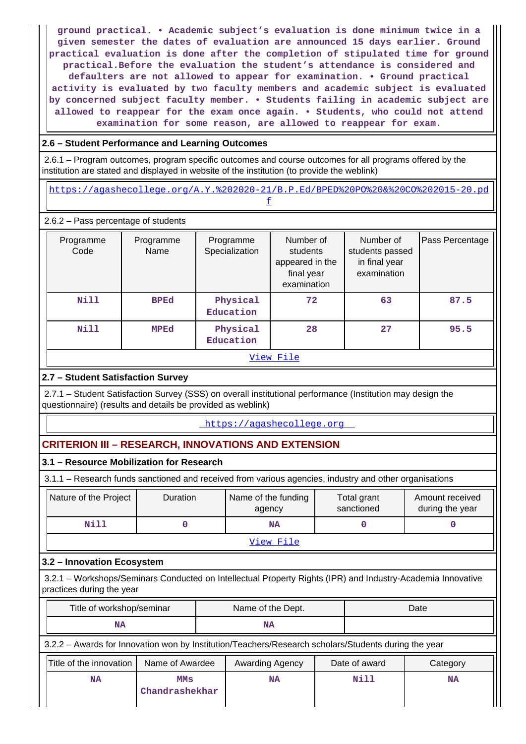**ground practical. • Academic subject's evaluation is done minimum twice in a given semester the dates of evaluation are announced 15 days earlier. Ground practical evaluation is done after the completion of stipulated time for ground practical.Before the evaluation the student's attendance is considered and defaulters are not allowed to appear for examination. • Ground practical activity is evaluated by two faculty members and academic subject is evaluated by concerned subject faculty member. • Students failing in academic subject are allowed to reappear for the exam once again. • Students, who could not attend examination for some reason, are allowed to reappear for exam.**

### **2.6 – Student Performance and Learning Outcomes**

 2.6.1 – Program outcomes, program specific outcomes and course outcomes for all programs offered by the institution are stated and displayed in website of the institution (to provide the weblink)

 [https://agashecollege.org/A.Y.%202020-21/B.P.Ed/BPED%20PO%20&%20CO%202015-20.pd](https://agashecollege.org/A.Y.%202020-21/B.P.Ed/BPED%20PO%20&%20CO%202015-20.pdf) [f](https://agashecollege.org/A.Y.%202020-21/B.P.Ed/BPED%20PO%20&%20CO%202015-20.pdf)

#### 2.6.2 – Pass percentage of students

| Programme<br>Code | Programme<br>Name | Programme<br>Specialization | Number of<br>students<br>appeared in the<br>final year<br>examination | Number of<br>students passed<br>in final year<br>examination | Pass Percentage |  |  |  |
|-------------------|-------------------|-----------------------------|-----------------------------------------------------------------------|--------------------------------------------------------------|-----------------|--|--|--|
| Nill              | <b>BPEd</b>       | Physical<br>Education       | 72                                                                    | 63                                                           | 87.5            |  |  |  |
| Nill              | MPEd              | Physical<br>Education       | 28                                                                    | 27                                                           | 95.5            |  |  |  |
| View File         |                   |                             |                                                                       |                                                              |                 |  |  |  |

### **2.7 – Student Satisfaction Survey**

 2.7.1 – Student Satisfaction Survey (SSS) on overall institutional performance (Institution may design the questionnaire) (results and details be provided as weblink)

#### <https://agashecollege.org>

### **CRITERION III – RESEARCH, INNOVATIONS AND EXTENSION**

### **3.1 – Resource Mobilization for Research**

3.1.1 – Research funds sanctioned and received from various agencies, industry and other organisations

| Nature of the Project | <b>Duration</b> | Name of the funding<br>agency | Total grant<br>Amount received<br>during the year<br>sanctioned |  |  |  |  |  |
|-----------------------|-----------------|-------------------------------|-----------------------------------------------------------------|--|--|--|--|--|
| Nill                  |                 |                               |                                                                 |  |  |  |  |  |
| View File             |                 |                               |                                                                 |  |  |  |  |  |

### **3.2 – Innovation Ecosystem**

 3.2.1 – Workshops/Seminars Conducted on Intellectual Property Rights (IPR) and Industry-Academia Innovative practices during the year

| Title of workshop/seminar | Name of the Dept. | Date |
|---------------------------|-------------------|------|
| NA                        | ΝA                |      |

### 3.2.2 – Awards for Innovation won by Institution/Teachers/Research scholars/Students during the year

| Title of the innovation | Name of Awardee              | Awarding Agency | Date of award | Category  |
|-------------------------|------------------------------|-----------------|---------------|-----------|
| ΝA                      | <b>MMS</b><br>Chandrashekhar | <b>NA</b>       | Nill          | <b>NA</b> |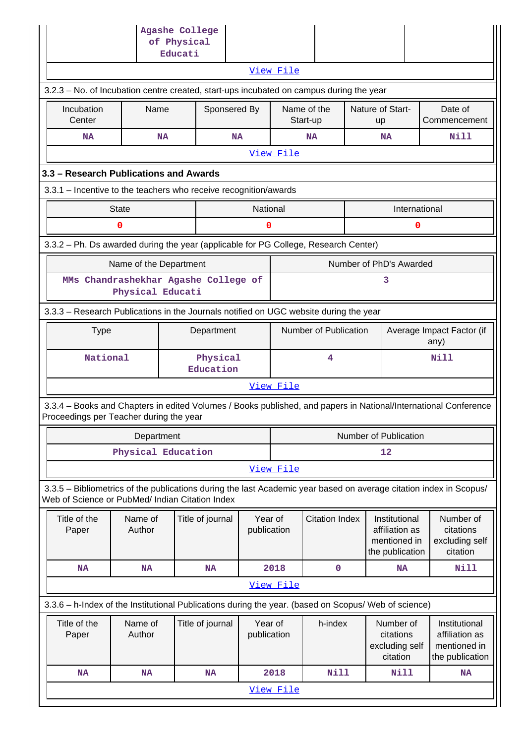|                                                                                                                                                                       |                                                                                       | Agashe College<br>of Physical<br>Educati |                        |                       |                         |  |                                                                    |                                                                    |  |  |
|-----------------------------------------------------------------------------------------------------------------------------------------------------------------------|---------------------------------------------------------------------------------------|------------------------------------------|------------------------|-----------------------|-------------------------|--|--------------------------------------------------------------------|--------------------------------------------------------------------|--|--|
|                                                                                                                                                                       |                                                                                       |                                          |                        | View File             |                         |  |                                                                    |                                                                    |  |  |
| 3.2.3 - No. of Incubation centre created, start-ups incubated on campus during the year                                                                               |                                                                                       |                                          |                        |                       |                         |  |                                                                    |                                                                    |  |  |
| Incubation<br>Center                                                                                                                                                  | Name                                                                                  |                                          | Sponsered By           |                       | Name of the<br>Start-up |  | Nature of Start-<br>up                                             | Date of<br>Commencement                                            |  |  |
| <b>NA</b>                                                                                                                                                             | <b>NA</b>                                                                             |                                          | <b>NA</b>              |                       | <b>NA</b>               |  | <b>NA</b>                                                          | Nill                                                               |  |  |
|                                                                                                                                                                       |                                                                                       |                                          |                        | View File             |                         |  |                                                                    |                                                                    |  |  |
| 3.3 - Research Publications and Awards                                                                                                                                |                                                                                       |                                          |                        |                       |                         |  |                                                                    |                                                                    |  |  |
| 3.3.1 - Incentive to the teachers who receive recognition/awards                                                                                                      |                                                                                       |                                          |                        |                       |                         |  |                                                                    |                                                                    |  |  |
| <b>State</b>                                                                                                                                                          |                                                                                       |                                          | National               |                       |                         |  | International                                                      |                                                                    |  |  |
| $\mathbf 0$                                                                                                                                                           |                                                                                       |                                          | 0                      |                       |                         |  | 0                                                                  |                                                                    |  |  |
| 3.3.2 - Ph. Ds awarded during the year (applicable for PG College, Research Center)                                                                                   |                                                                                       |                                          |                        |                       |                         |  |                                                                    |                                                                    |  |  |
|                                                                                                                                                                       | Name of the Department                                                                |                                          |                        |                       |                         |  | Number of PhD's Awarded                                            |                                                                    |  |  |
|                                                                                                                                                                       | MMs Chandrashekhar Agashe College of<br>3<br>Physical Educati                         |                                          |                        |                       |                         |  |                                                                    |                                                                    |  |  |
|                                                                                                                                                                       | 3.3.3 - Research Publications in the Journals notified on UGC website during the year |                                          |                        |                       |                         |  |                                                                    |                                                                    |  |  |
| <b>Type</b>                                                                                                                                                           | Department                                                                            |                                          |                        | Number of Publication |                         |  | Average Impact Factor (if<br>any)                                  |                                                                    |  |  |
| National                                                                                                                                                              |                                                                                       | Physical<br>Education                    |                        | 4                     |                         |  | Nill                                                               |                                                                    |  |  |
|                                                                                                                                                                       |                                                                                       |                                          |                        | View File             |                         |  |                                                                    |                                                                    |  |  |
| 3.3.4 - Books and Chapters in edited Volumes / Books published, and papers in National/International Conference<br>Proceedings per Teacher during the year            |                                                                                       |                                          |                        |                       |                         |  |                                                                    |                                                                    |  |  |
|                                                                                                                                                                       | Department                                                                            |                                          |                        |                       |                         |  | Number of Publication                                              |                                                                    |  |  |
|                                                                                                                                                                       | Physical Education                                                                    |                                          |                        |                       |                         |  | 12                                                                 |                                                                    |  |  |
|                                                                                                                                                                       |                                                                                       |                                          |                        | View File             |                         |  |                                                                    |                                                                    |  |  |
| 3.3.5 - Bibliometrics of the publications during the last Academic year based on average citation index in Scopus/<br>Web of Science or PubMed/ Indian Citation Index |                                                                                       |                                          |                        |                       |                         |  |                                                                    |                                                                    |  |  |
| Title of the<br>Paper                                                                                                                                                 | Name of<br>Author                                                                     | Title of journal                         | Year of<br>publication |                       | <b>Citation Index</b>   |  | Institutional<br>affiliation as<br>mentioned in<br>the publication | Number of<br>citations<br>excluding self<br>citation               |  |  |
| <b>NA</b>                                                                                                                                                             | <b>NA</b>                                                                             | <b>NA</b>                                |                        | 2018                  | $\mathbf 0$             |  | <b>NA</b>                                                          | <b>Nill</b>                                                        |  |  |
|                                                                                                                                                                       |                                                                                       |                                          |                        | View File             |                         |  |                                                                    |                                                                    |  |  |
| 3.3.6 - h-Index of the Institutional Publications during the year. (based on Scopus/ Web of science)                                                                  |                                                                                       |                                          |                        |                       |                         |  |                                                                    |                                                                    |  |  |
| Title of the<br>Paper                                                                                                                                                 | Name of<br>Author                                                                     | Title of journal                         | Year of<br>publication |                       | h-index                 |  | Number of<br>citations<br>excluding self<br>citation               | Institutional<br>affiliation as<br>mentioned in<br>the publication |  |  |
| <b>NA</b>                                                                                                                                                             | <b>NA</b>                                                                             | <b>NA</b>                                |                        | 2018                  | <b>Nill</b>             |  | Nill                                                               | <b>NA</b>                                                          |  |  |
|                                                                                                                                                                       |                                                                                       |                                          |                        | View File             |                         |  |                                                                    |                                                                    |  |  |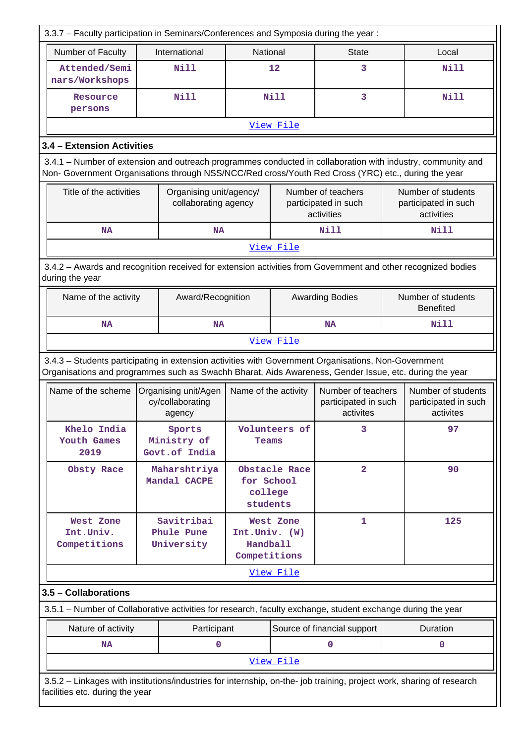| 3.3.7 - Faculty participation in Seminars/Conferences and Symposia during the year:                                                                                                                                |                                                    |                                           |                             |                                                          |  |                                                          |  |
|--------------------------------------------------------------------------------------------------------------------------------------------------------------------------------------------------------------------|----------------------------------------------------|-------------------------------------------|-----------------------------|----------------------------------------------------------|--|----------------------------------------------------------|--|
| Number of Faculty<br>International<br>National<br><b>State</b><br>Local                                                                                                                                            |                                                    |                                           |                             |                                                          |  |                                                          |  |
| Attended/Semi<br>nars/Workshops                                                                                                                                                                                    | <b>Nill</b>                                        | 12                                        |                             | 3                                                        |  | <b>Nill</b>                                              |  |
| Resource<br>persons                                                                                                                                                                                                | <b>Nill</b>                                        |                                           | Nill                        | 3                                                        |  | <b>Nill</b>                                              |  |
|                                                                                                                                                                                                                    |                                                    |                                           | View File                   |                                                          |  |                                                          |  |
| 3.4 - Extension Activities                                                                                                                                                                                         |                                                    |                                           |                             |                                                          |  |                                                          |  |
| 3.4.1 - Number of extension and outreach programmes conducted in collaboration with industry, community and<br>Non- Government Organisations through NSS/NCC/Red cross/Youth Red Cross (YRC) etc., during the year |                                                    |                                           |                             |                                                          |  |                                                          |  |
| Title of the activities                                                                                                                                                                                            | Organising unit/agency/<br>collaborating agency    |                                           |                             | Number of teachers<br>participated in such<br>activities |  | Number of students<br>participated in such<br>activities |  |
| <b>NA</b>                                                                                                                                                                                                          | <b>NA</b>                                          |                                           |                             | Nill                                                     |  | Nill                                                     |  |
|                                                                                                                                                                                                                    |                                                    |                                           | View File                   |                                                          |  |                                                          |  |
| 3.4.2 - Awards and recognition received for extension activities from Government and other recognized bodies<br>during the year                                                                                    |                                                    |                                           |                             |                                                          |  |                                                          |  |
| Name of the activity                                                                                                                                                                                               | Award/Recognition                                  |                                           |                             | <b>Awarding Bodies</b>                                   |  | Number of students<br><b>Benefited</b>                   |  |
| <b>NA</b>                                                                                                                                                                                                          | <b>NA</b>                                          |                                           |                             | <b>NA</b>                                                |  | <b>Nill</b>                                              |  |
|                                                                                                                                                                                                                    |                                                    |                                           | View File                   |                                                          |  |                                                          |  |
| 3.4.3 - Students participating in extension activities with Government Organisations, Non-Government<br>Organisations and programmes such as Swachh Bharat, Aids Awareness, Gender Issue, etc. during the year     |                                                    |                                           |                             |                                                          |  |                                                          |  |
| Name of the scheme                                                                                                                                                                                                 | Organising unit/Agen<br>cy/collaborating<br>agency | Name of the activity                      |                             | Number of teachers<br>participated in such<br>activites  |  | Number of students<br>participated in such<br>activites  |  |
| Khelo India<br>Youth Games<br>2019                                                                                                                                                                                 | Sports<br>Ministry of<br>Govt.of India             |                                           | 3<br>Volunteers of<br>Teams |                                                          |  | 97                                                       |  |
| Obsty Race                                                                                                                                                                                                         | Maharshtriya<br>Mandal CACPE                       | for School<br>college<br>students         | Obstacle Race               | $\overline{a}$                                           |  | 90                                                       |  |
| West Zone<br>Int.Univ.<br>Competitions                                                                                                                                                                             | Savitribai<br>Phule Pune<br>University             | Int.Univ. (W)<br>Handball<br>Competitions | West Zone                   | $\mathbf{1}$                                             |  | 125                                                      |  |
|                                                                                                                                                                                                                    |                                                    |                                           | View File                   |                                                          |  |                                                          |  |
| 3.5 - Collaborations                                                                                                                                                                                               |                                                    |                                           |                             |                                                          |  |                                                          |  |
| 3.5.1 - Number of Collaborative activities for research, faculty exchange, student exchange during the year                                                                                                        |                                                    |                                           |                             |                                                          |  |                                                          |  |
| Nature of activity                                                                                                                                                                                                 | Participant                                        |                                           |                             | Source of financial support                              |  | Duration                                                 |  |
| <b>NA</b>                                                                                                                                                                                                          | 0                                                  |                                           |                             | $\mathbf 0$                                              |  | 0                                                        |  |
|                                                                                                                                                                                                                    |                                                    |                                           | View File                   |                                                          |  |                                                          |  |
| 3.5.2 - Linkages with institutions/industries for internship, on-the- job training, project work, sharing of research<br>facilities etc. during the year                                                           |                                                    |                                           |                             |                                                          |  |                                                          |  |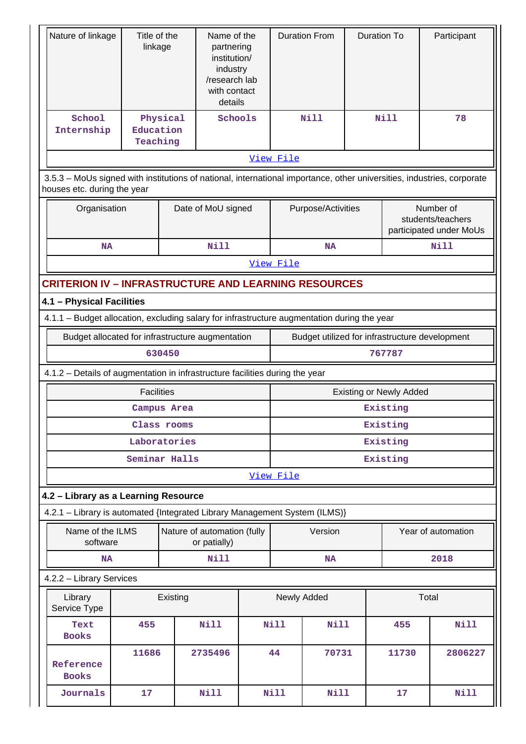| Nature of linkage                                                                                                                                     | Title of the          |               | Name of the                                                                        |                                                | <b>Duration From</b> | <b>Duration To</b> |                                | Participant                                  |  |
|-------------------------------------------------------------------------------------------------------------------------------------------------------|-----------------------|---------------|------------------------------------------------------------------------------------|------------------------------------------------|----------------------|--------------------|--------------------------------|----------------------------------------------|--|
|                                                                                                                                                       | linkage               |               | partnering<br>institution/<br>industry<br>/research lab<br>with contact<br>details |                                                |                      |                    |                                |                                              |  |
| School                                                                                                                                                |                       | Physical      | Schools                                                                            |                                                | Nill                 |                    | <b>Nill</b>                    | 78                                           |  |
| Internship                                                                                                                                            | Education<br>Teaching |               |                                                                                    |                                                |                      |                    |                                |                                              |  |
|                                                                                                                                                       |                       |               |                                                                                    | View File                                      |                      |                    |                                |                                              |  |
|                                                                                                                                                       |                       |               |                                                                                    |                                                |                      |                    |                                |                                              |  |
| 3.5.3 - MoUs signed with institutions of national, international importance, other universities, industries, corporate<br>houses etc. during the year |                       |               |                                                                                    |                                                |                      |                    |                                |                                              |  |
| Organisation                                                                                                                                          |                       |               | Date of MoU signed                                                                 |                                                | Purpose/Activities   |                    |                                | Number of                                    |  |
|                                                                                                                                                       |                       |               |                                                                                    |                                                |                      |                    |                                | students/teachers<br>participated under MoUs |  |
| <b>NA</b>                                                                                                                                             |                       |               | <b>Nill</b>                                                                        |                                                | <b>NA</b>            |                    |                                | Nill                                         |  |
|                                                                                                                                                       |                       |               |                                                                                    | View File                                      |                      |                    |                                |                                              |  |
| <b>CRITERION IV - INFRASTRUCTURE AND LEARNING RESOURCES</b>                                                                                           |                       |               |                                                                                    |                                                |                      |                    |                                |                                              |  |
| 4.1 - Physical Facilities                                                                                                                             |                       |               |                                                                                    |                                                |                      |                    |                                |                                              |  |
| 4.1.1 - Budget allocation, excluding salary for infrastructure augmentation during the year                                                           |                       |               |                                                                                    |                                                |                      |                    |                                |                                              |  |
| Budget allocated for infrastructure augmentation                                                                                                      |                       |               |                                                                                    | Budget utilized for infrastructure development |                      |                    |                                |                                              |  |
|                                                                                                                                                       |                       | 630450        |                                                                                    | 767787                                         |                      |                    |                                |                                              |  |
| 4.1.2 - Details of augmentation in infrastructure facilities during the year                                                                          |                       |               |                                                                                    |                                                |                      |                    |                                |                                              |  |
|                                                                                                                                                       | <b>Facilities</b>     |               |                                                                                    |                                                |                      |                    | <b>Existing or Newly Added</b> |                                              |  |
|                                                                                                                                                       |                       | Campus Area   |                                                                                    |                                                |                      |                    | Existing                       |                                              |  |
|                                                                                                                                                       |                       | Class rooms   |                                                                                    |                                                |                      |                    | Existing                       |                                              |  |
|                                                                                                                                                       |                       | Laboratories  |                                                                                    | Existing                                       |                      |                    |                                |                                              |  |
|                                                                                                                                                       |                       | Seminar Halls |                                                                                    | Existing                                       |                      |                    |                                |                                              |  |
|                                                                                                                                                       |                       |               |                                                                                    | View File                                      |                      |                    |                                |                                              |  |
| 4.2 - Library as a Learning Resource                                                                                                                  |                       |               |                                                                                    |                                                |                      |                    |                                |                                              |  |
| 4.2.1 - Library is automated {Integrated Library Management System (ILMS)}                                                                            |                       |               |                                                                                    |                                                |                      |                    |                                |                                              |  |
| Name of the ILMS                                                                                                                                      |                       |               | Nature of automation (fully                                                        |                                                | Version              |                    |                                | Year of automation                           |  |
| software                                                                                                                                              |                       |               | or patially)                                                                       |                                                |                      |                    |                                |                                              |  |
| <b>NA</b>                                                                                                                                             |                       |               | Nill                                                                               |                                                | <b>NA</b>            |                    |                                | 2018                                         |  |
| 4.2.2 - Library Services                                                                                                                              |                       |               |                                                                                    |                                                |                      |                    |                                |                                              |  |
| Library<br>Service Type                                                                                                                               |                       | Existing      |                                                                                    |                                                | Newly Added          |                    |                                | Total                                        |  |
| Text<br><b>Books</b>                                                                                                                                  | 455                   |               | <b>Nill</b>                                                                        | Nill                                           | <b>Nill</b>          |                    | 455                            | <b>Nill</b>                                  |  |
|                                                                                                                                                       | 11686                 |               | 2735496                                                                            | 44                                             | 70731                |                    | 11730                          | 2806227                                      |  |
| Reference<br><b>Books</b>                                                                                                                             |                       |               |                                                                                    |                                                |                      |                    |                                |                                              |  |
| Journals                                                                                                                                              | 17                    |               | <b>Nill</b>                                                                        | Nill                                           | <b>Nill</b>          |                    | 17                             | Nill                                         |  |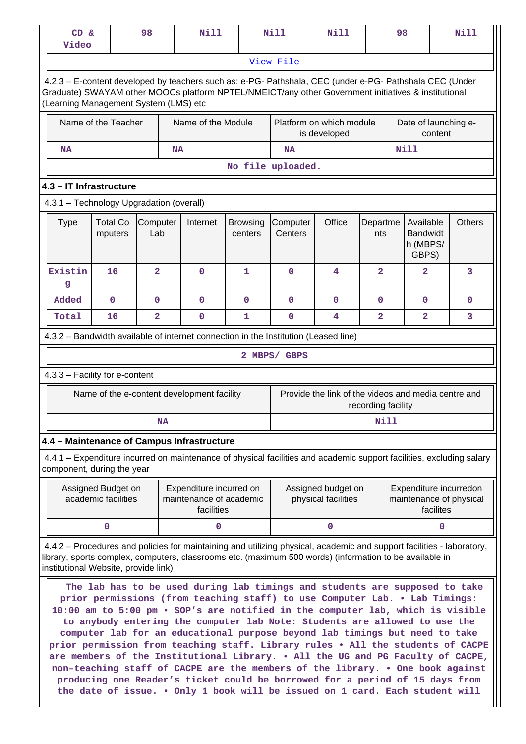| CD &<br>Video                            |                                           |                            | 98              |           | <b>Nill</b>                                                                  |                            | <b>Nill</b>         | <b>Nill</b>                                                                                                                                                                                                                                                                                                                                                                                                                                                                                                                                                                                                                                                        |                    | 98              |                                                   |           | <b>Nill</b>                                       |
|------------------------------------------|-------------------------------------------|----------------------------|-----------------|-----------|------------------------------------------------------------------------------|----------------------------|---------------------|--------------------------------------------------------------------------------------------------------------------------------------------------------------------------------------------------------------------------------------------------------------------------------------------------------------------------------------------------------------------------------------------------------------------------------------------------------------------------------------------------------------------------------------------------------------------------------------------------------------------------------------------------------------------|--------------------|-----------------|---------------------------------------------------|-----------|---------------------------------------------------|
|                                          |                                           |                            |                 |           |                                                                              |                            | View File           |                                                                                                                                                                                                                                                                                                                                                                                                                                                                                                                                                                                                                                                                    |                    |                 |                                                   |           |                                                   |
| (Learning Management System (LMS) etc    |                                           |                            |                 |           |                                                                              |                            |                     | 4.2.3 - E-content developed by teachers such as: e-PG- Pathshala, CEC (under e-PG- Pathshala CEC (Under<br>Graduate) SWAYAM other MOOCs platform NPTEL/NMEICT/any other Government initiatives & institutional                                                                                                                                                                                                                                                                                                                                                                                                                                                     |                    |                 |                                                   |           |                                                   |
| Name of the Teacher                      |                                           |                            |                 |           | Name of the Module                                                           |                            |                     | Platform on which module<br>is developed                                                                                                                                                                                                                                                                                                                                                                                                                                                                                                                                                                                                                           |                    |                 |                                                   | content   | Date of launching e-                              |
| <b>NA</b>                                |                                           |                            |                 |           | <b>NA</b>                                                                    |                            | <b>NA</b>           |                                                                                                                                                                                                                                                                                                                                                                                                                                                                                                                                                                                                                                                                    |                    |                 | <b>Nill</b>                                       |           |                                                   |
|                                          |                                           |                            |                 |           |                                                                              |                            | No file uploaded.   |                                                                                                                                                                                                                                                                                                                                                                                                                                                                                                                                                                                                                                                                    |                    |                 |                                                   |           |                                                   |
| 4.3 - IT Infrastructure                  |                                           |                            |                 |           |                                                                              |                            |                     |                                                                                                                                                                                                                                                                                                                                                                                                                                                                                                                                                                                                                                                                    |                    |                 |                                                   |           |                                                   |
| 4.3.1 - Technology Upgradation (overall) |                                           |                            |                 |           |                                                                              |                            |                     |                                                                                                                                                                                                                                                                                                                                                                                                                                                                                                                                                                                                                                                                    |                    |                 |                                                   |           |                                                   |
| <b>Type</b>                              |                                           | <b>Total Co</b><br>mputers | Computer<br>Lab |           | Internet                                                                     | <b>Browsing</b><br>centers | Computer<br>Centers | Office                                                                                                                                                                                                                                                                                                                                                                                                                                                                                                                                                                                                                                                             |                    | Departme<br>nts | Available<br><b>Bandwidt</b><br>h (MBPS/<br>GBPS) |           | <b>Others</b>                                     |
| Existin<br>g                             |                                           | 16                         | $\overline{2}$  |           | $\mathbf 0$                                                                  | 1                          | $\Omega$            | 4                                                                                                                                                                                                                                                                                                                                                                                                                                                                                                                                                                                                                                                                  |                    | $\overline{2}$  | $\overline{a}$                                    |           | 3                                                 |
| Added                                    |                                           | $\mathbf 0$                | $\mathbf 0$     |           | $\mathbf 0$                                                                  | $\mathbf 0$                | $\mathbf 0$         | $\mathbf 0$                                                                                                                                                                                                                                                                                                                                                                                                                                                                                                                                                                                                                                                        |                    | $\mathbf{O}$    | $\mathbf 0$                                       |           | $\mathbf 0$                                       |
| Total                                    |                                           | 16                         | $\overline{2}$  |           | $\mathbf 0$                                                                  | 1                          | $\mathbf 0$         | 4                                                                                                                                                                                                                                                                                                                                                                                                                                                                                                                                                                                                                                                                  |                    | $\overline{2}$  | $\overline{a}$                                    |           | 3                                                 |
|                                          |                                           |                            |                 |           |                                                                              |                            |                     | 4.3.2 - Bandwidth available of internet connection in the Institution (Leased line)                                                                                                                                                                                                                                                                                                                                                                                                                                                                                                                                                                                |                    |                 |                                                   |           |                                                   |
|                                          |                                           |                            |                 |           |                                                                              |                            | 2 MBPS/ GBPS        |                                                                                                                                                                                                                                                                                                                                                                                                                                                                                                                                                                                                                                                                    |                    |                 |                                                   |           |                                                   |
| 4.3.3 - Facility for e-content           |                                           |                            |                 |           |                                                                              |                            |                     |                                                                                                                                                                                                                                                                                                                                                                                                                                                                                                                                                                                                                                                                    |                    |                 |                                                   |           |                                                   |
|                                          |                                           |                            |                 |           | Name of the e-content development facility                                   |                            |                     | Provide the link of the videos and media centre and                                                                                                                                                                                                                                                                                                                                                                                                                                                                                                                                                                                                                | recording facility |                 |                                                   |           |                                                   |
|                                          |                                           |                            |                 | <b>NA</b> |                                                                              |                            |                     |                                                                                                                                                                                                                                                                                                                                                                                                                                                                                                                                                                                                                                                                    |                    | Nill            |                                                   |           |                                                   |
|                                          |                                           |                            |                 |           | 4.4 - Maintenance of Campus Infrastructure                                   |                            |                     |                                                                                                                                                                                                                                                                                                                                                                                                                                                                                                                                                                                                                                                                    |                    |                 |                                                   |           |                                                   |
| component, during the year               |                                           |                            |                 |           |                                                                              |                            |                     | 4.4.1 - Expenditure incurred on maintenance of physical facilities and academic support facilities, excluding salary                                                                                                                                                                                                                                                                                                                                                                                                                                                                                                                                               |                    |                 |                                                   |           |                                                   |
|                                          | Assigned Budget on<br>academic facilities |                            |                 |           | Expenditure incurred on<br>maintenance of academic<br>facilities             |                            |                     | Assigned budget on<br>physical facilities                                                                                                                                                                                                                                                                                                                                                                                                                                                                                                                                                                                                                          |                    |                 |                                                   | facilites | Expenditure incurredon<br>maintenance of physical |
|                                          | 0                                         |                            |                 |           | 0                                                                            |                            |                     | $\mathbf{0}$                                                                                                                                                                                                                                                                                                                                                                                                                                                                                                                                                                                                                                                       |                    |                 |                                                   | 0         |                                                   |
| institutional Website, provide link)     |                                           |                            |                 |           |                                                                              |                            |                     | 4.4.2 – Procedures and policies for maintaining and utilizing physical, academic and support facilities - laboratory,<br>library, sports complex, computers, classrooms etc. (maximum 500 words) (information to be available in<br>The lab has to be used during lab timings and students are supposed to take                                                                                                                                                                                                                                                                                                                                                    |                    |                 |                                                   |           |                                                   |
|                                          |                                           |                            |                 |           | the date of issue. . Only 1 book will be issued on 1 card. Each student will |                            |                     | prior permissions (from teaching staff) to use Computer Lab. . Lab Timings:<br>10:00 am to 5:00 pm . SOP's are notified in the computer lab, which is visible<br>to anybody entering the computer lab Note: Students are allowed to use the<br>computer lab for an educational purpose beyond lab timings but need to take<br>prior permission from teaching staff. Library rules . All the students of CACPE<br>are members of the Institutional Library. . All the UG and PG Faculty of CACPE,<br>non-teaching staff of CACPE are the members of the library. . One book against<br>producing one Reader's ticket could be borrowed for a period of 15 days from |                    |                 |                                                   |           |                                                   |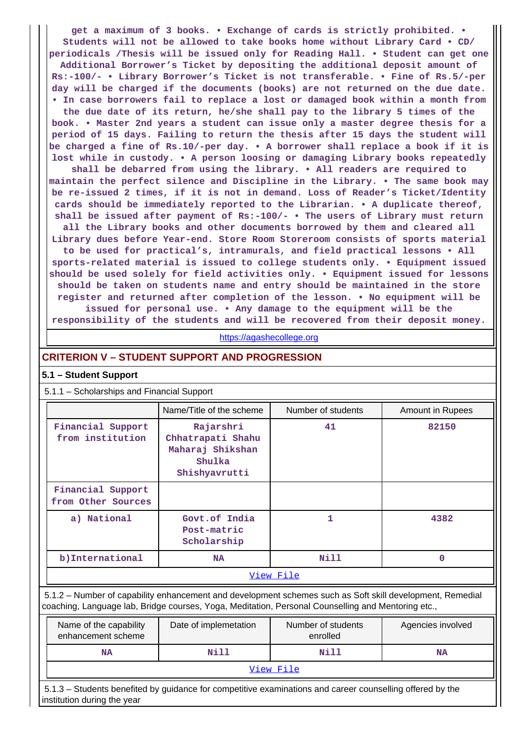**get a maximum of 3 books. • Exchange of cards is strictly prohibited. • Students will not be allowed to take books home without Library Card • CD/ periodicals /Thesis will be issued only for Reading Hall. • Student can get one Additional Borrower's Ticket by depositing the additional deposit amount of Rs:-100/- • Library Borrower's Ticket is not transferable. • Fine of Rs.5/-per day will be charged if the documents (books) are not returned on the due date. • In case borrowers fail to replace a lost or damaged book within a month from the due date of its return, he/she shall pay to the library 5 times of the**

**book. • Master 2nd years a student can issue only a master degree thesis for a period of 15 days. Failing to return the thesis after 15 days the student will be charged a fine of Rs.10/-per day. • A borrower shall replace a book if it is lost while in custody. • A person loosing or damaging Library books repeatedly**

**shall be debarred from using the library. • All readers are required to maintain the perfect silence and Discipline in the Library. • The same book may be re-issued 2 times, if it is not in demand. Loss of Reader's Ticket/Identity cards should be immediately reported to the Librarian. • A duplicate thereof, shall be issued after payment of Rs:-100/- • The users of Library must return**

**all the Library books and other documents borrowed by them and cleared all Library dues before Year-end. Store Room Storeroom consists of sports material to be used for practical's, intramurals, and field practical lessons • All sports-related material is issued to college students only. • Equipment issued should be used solely for field activities only. • Equipment issued for lessons should be taken on students name and entry should be maintained in the store register and returned after completion of the lesson. • No equipment will be issued for personal use. • Any damage to the equipment will be the**

**responsibility of the students and will be recovered from their deposit money.**

<https://agashecollege.org>

### **CRITERION V – STUDENT SUPPORT AND PROGRESSION**

#### **5.1 – Student Support**

#### 5.1.1 – Scholarships and Financial Support

|                                         | Name/Title of the scheme                                                      | Number of students | Amount in Rupees |
|-----------------------------------------|-------------------------------------------------------------------------------|--------------------|------------------|
| Financial Support<br>from institution   | Rajarshri<br>Chhatrapati Shahu<br>Maharaj Shikshan<br>Shulka<br>Shishyavrutti | 41                 | 82150            |
| Financial Support<br>from Other Sources |                                                                               |                    |                  |
| a) National                             | Govt.of India<br>Post-matric<br>Scholarship                                   | 1                  | 4382             |
| b) International                        | <b>NA</b>                                                                     | Nill               | 0                |
|                                         |                                                                               | View File          |                  |

 5.1.2 – Number of capability enhancement and development schemes such as Soft skill development, Remedial coaching, Language lab, Bridge courses, Yoga, Meditation, Personal Counselling and Mentoring etc.,

| Name of the capability<br>enhancement scheme | Date of implemetation | Number of students<br>enrolled | Agencies involved |
|----------------------------------------------|-----------------------|--------------------------------|-------------------|
| NA                                           | Nill                  | Nill                           | NA                |
|                                              |                       | View File                      |                   |

 5.1.3 – Students benefited by guidance for competitive examinations and career counselling offered by the institution during the year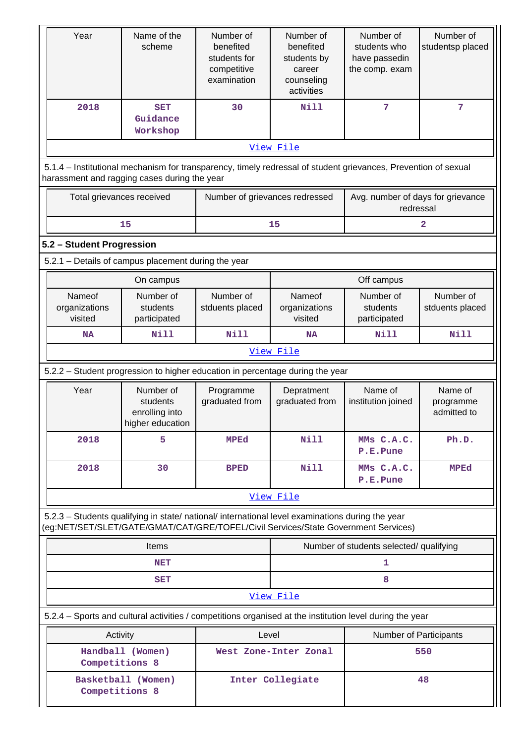| Year                                                                                                                                                                                   | Name of the<br>scheme                                       | Number of<br>benefited<br>students for<br>competitive<br>examination | Number of<br>benefited<br>students by<br>career<br>counseling<br>activities | Number of<br>students who<br>have passedin<br>the comp. exam | Number of<br>studentsp placed       |  |  |  |  |
|----------------------------------------------------------------------------------------------------------------------------------------------------------------------------------------|-------------------------------------------------------------|----------------------------------------------------------------------|-----------------------------------------------------------------------------|--------------------------------------------------------------|-------------------------------------|--|--|--|--|
| 2018                                                                                                                                                                                   | <b>SET</b><br>Guidance<br>Workshop                          | 30                                                                   | <b>Nill</b>                                                                 | 7                                                            | 7                                   |  |  |  |  |
|                                                                                                                                                                                        |                                                             |                                                                      | View File                                                                   |                                                              |                                     |  |  |  |  |
| 5.1.4 – Institutional mechanism for transparency, timely redressal of student grievances, Prevention of sexual<br>harassment and ragging cases during the year                         |                                                             |                                                                      |                                                                             |                                                              |                                     |  |  |  |  |
| Total grievances received                                                                                                                                                              |                                                             | Number of grievances redressed                                       |                                                                             | Avg. number of days for grievance<br>redressal               |                                     |  |  |  |  |
|                                                                                                                                                                                        | 15                                                          |                                                                      | 15                                                                          |                                                              | 2                                   |  |  |  |  |
| 5.2 - Student Progression                                                                                                                                                              |                                                             |                                                                      |                                                                             |                                                              |                                     |  |  |  |  |
|                                                                                                                                                                                        | 5.2.1 - Details of campus placement during the year         |                                                                      |                                                                             |                                                              |                                     |  |  |  |  |
|                                                                                                                                                                                        | On campus                                                   |                                                                      |                                                                             | Off campus                                                   |                                     |  |  |  |  |
| Nameof<br>organizations<br>visited                                                                                                                                                     | Number of<br>students<br>participated                       | Number of<br>stduents placed                                         | Nameof<br>organizations<br>visited                                          | Number of<br>students<br>participated                        | Number of<br>stduents placed        |  |  |  |  |
| <b>NA</b>                                                                                                                                                                              | Nill                                                        | Nill                                                                 | <b>NA</b>                                                                   | <b>Nill</b>                                                  | <b>Nill</b>                         |  |  |  |  |
|                                                                                                                                                                                        |                                                             |                                                                      | View File                                                                   |                                                              |                                     |  |  |  |  |
| 5.2.2 - Student progression to higher education in percentage during the year                                                                                                          |                                                             |                                                                      |                                                                             |                                                              |                                     |  |  |  |  |
| Year                                                                                                                                                                                   | Number of<br>students<br>enrolling into<br>higher education | Programme<br>graduated from                                          | Depratment<br>graduated from                                                | Name of<br>institution joined                                | Name of<br>programme<br>admitted to |  |  |  |  |
| 2018                                                                                                                                                                                   | 5                                                           | <b>MPEd</b>                                                          | <b>Nill</b>                                                                 | MMs C.A.C.<br>P.E.Pune                                       | Ph.D.                               |  |  |  |  |
| 2018                                                                                                                                                                                   | 30                                                          | <b>BPED</b>                                                          | <b>Nill</b>                                                                 | MMs C.A.C.<br>P.E.Pune                                       | <b>MPEd</b>                         |  |  |  |  |
|                                                                                                                                                                                        |                                                             |                                                                      | View File                                                                   |                                                              |                                     |  |  |  |  |
| 5.2.3 - Students qualifying in state/ national/ international level examinations during the year<br>(eg:NET/SET/SLET/GATE/GMAT/CAT/GRE/TOFEL/Civil Services/State Government Services) |                                                             |                                                                      |                                                                             |                                                              |                                     |  |  |  |  |
|                                                                                                                                                                                        | <b>Items</b>                                                |                                                                      |                                                                             | Number of students selected/ qualifying                      |                                     |  |  |  |  |
|                                                                                                                                                                                        | NET                                                         |                                                                      |                                                                             | 1                                                            |                                     |  |  |  |  |
|                                                                                                                                                                                        | <b>SET</b>                                                  |                                                                      |                                                                             | 8                                                            |                                     |  |  |  |  |
|                                                                                                                                                                                        |                                                             |                                                                      | View File                                                                   |                                                              |                                     |  |  |  |  |
| 5.2.4 – Sports and cultural activities / competitions organised at the institution level during the year                                                                               |                                                             |                                                                      |                                                                             |                                                              |                                     |  |  |  |  |
| Activity                                                                                                                                                                               |                                                             | Level                                                                |                                                                             | Number of Participants                                       |                                     |  |  |  |  |
| Competitions 8                                                                                                                                                                         | Handball (Women)                                            |                                                                      | West Zone-Inter Zonal                                                       |                                                              | 550                                 |  |  |  |  |
| Competitions 8                                                                                                                                                                         | Basketball (Women)                                          |                                                                      | Inter Collegiate                                                            |                                                              | 48                                  |  |  |  |  |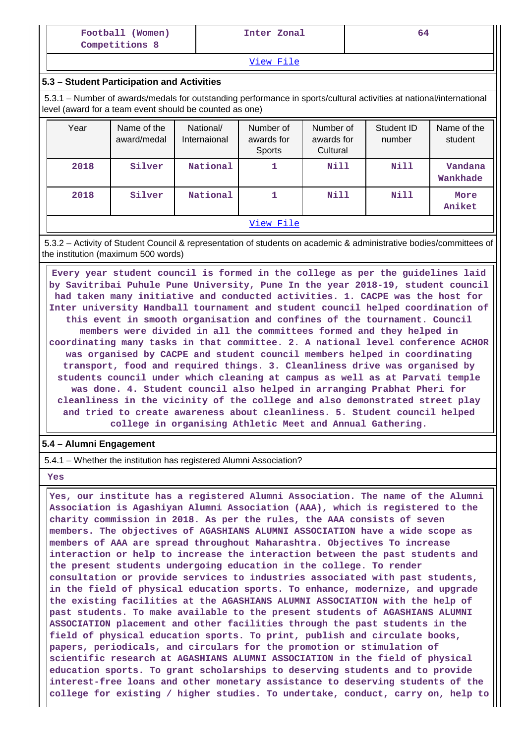| Football (Women)<br>Inter Zonal<br>Competitions 8 | 64 |
|---------------------------------------------------|----|
|---------------------------------------------------|----|

[View File](https://assessmentonline.naac.gov.in/public/Postacc/Activities_Organised/6959_Activities_Organised_1609489026.xls)

### **5.3 – Student Participation and Activities**

 5.3.1 – Number of awards/medals for outstanding performance in sports/cultural activities at national/international level (award for a team event should be counted as one)

| Year | Name of the<br>award/medal | National/<br>Internaional | Number of<br>awards for<br>Sports | Number of<br>awards for<br>Cultural | Student ID<br>number | Name of the<br>student |
|------|----------------------------|---------------------------|-----------------------------------|-------------------------------------|----------------------|------------------------|
| 2018 | Silver                     | National                  | 1                                 | Nill                                | <b>Nill</b>          | Vandana<br>Wankhade    |
| 2018 | Silver                     | National                  | 1                                 | <b>Nill</b>                         | Nill                 | More<br>Aniket         |
|      |                            |                           | View File                         |                                     |                      |                        |

 5.3.2 – Activity of Student Council & representation of students on academic & administrative bodies/committees of the institution (maximum 500 words)

 **Every year student council is formed in the college as per the guidelines laid by Savitribai Puhule Pune University, Pune In the year 2018-19, student council had taken many initiative and conducted activities. 1. CACPE was the host for Inter university Handball tournament and student council helped coordination of this event in smooth organisation and confines of the tournament. Council members were divided in all the committees formed and they helped in coordinating many tasks in that committee. 2. A national level conference ACHOR was organised by CACPE and student council members helped in coordinating transport, food and required things. 3. Cleanliness drive was organised by students council under which cleaning at campus as well as at Parvati temple was done. 4. Student council also helped in arranging Prabhat Pheri for cleanliness in the vicinity of the college and also demonstrated street play and tried to create awareness about cleanliness. 5. Student council helped college in organising Athletic Meet and Annual Gathering.**

#### **5.4 – Alumni Engagement**

5.4.1 – Whether the institution has registered Alumni Association?

 **Yes**

 **Yes, our institute has a registered Alumni Association. The name of the Alumni Association is Agashiyan Alumni Association (AAA), which is registered to the charity commission in 2018. As per the rules, the AAA consists of seven members. The objectives of AGASHIANS ALUMNI ASSOCIATION have a wide scope as members of AAA are spread throughout Maharashtra. Objectives To increase interaction or help to increase the interaction between the past students and the present students undergoing education in the college. To render consultation or provide services to industries associated with past students, in the field of physical education sports. To enhance, modernize, and upgrade the existing facilities at the AGASHIANS ALUMNI ASSOCIATION with the help of past students. To make available to the present students of AGASHIANS ALUMNI ASSOCIATION placement and other facilities through the past students in the field of physical education sports. To print, publish and circulate books, papers, periodicals, and circulars for the promotion or stimulation of scientific research at AGASHIANS ALUMNI ASSOCIATION in the field of physical education sports. To grant scholarships to deserving students and to provide interest-free loans and other monetary assistance to deserving students of the college for existing / higher studies. To undertake, conduct, carry on, help to**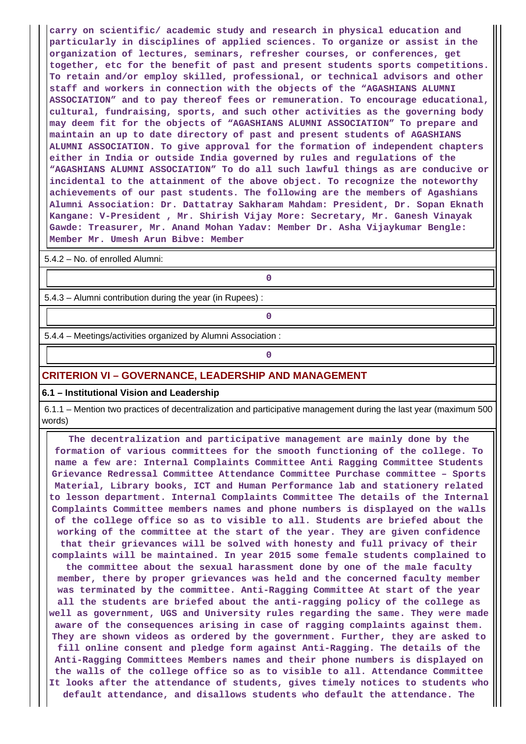**carry on scientific/ academic study and research in physical education and particularly in disciplines of applied sciences. To organize or assist in the organization of lectures, seminars, refresher courses, or conferences, get together, etc for the benefit of past and present students sports competitions. To retain and/or employ skilled, professional, or technical advisors and other staff and workers in connection with the objects of the "AGASHIANS ALUMNI ASSOCIATION" and to pay thereof fees or remuneration. To encourage educational, cultural, fundraising, sports, and such other activities as the governing body may deem fit for the objects of "AGASHIANS ALUMNI ASSOCIATION" To prepare and maintain an up to date directory of past and present students of AGASHIANS ALUMNI ASSOCIATION. To give approval for the formation of independent chapters either in India or outside India governed by rules and regulations of the "AGASHIANS ALUMNI ASSOCIATION" To do all such lawful things as are conducive or incidental to the attainment of the above object. To recognize the noteworthy achievements of our past students. The following are the members of Agashians Alumni Association: Dr. Dattatray Sakharam Mahdam: President, Dr. Sopan Eknath Kangane: V-President , Mr. Shirish Vijay More: Secretary, Mr. Ganesh Vinayak Gawde: Treasurer, Mr. Anand Mohan Yadav: Member Dr. Asha Vijaykumar Bengle: Member Mr. Umesh Arun Bibve: Member**

5.4.2 – No. of enrolled Alumni:

**0**

5.4.3 – Alumni contribution during the year (in Rupees) :

**0**

**0**

5.4.4 – Meetings/activities organized by Alumni Association :

### **CRITERION VI – GOVERNANCE, LEADERSHIP AND MANAGEMENT**

#### **6.1 – Institutional Vision and Leadership**

 6.1.1 – Mention two practices of decentralization and participative management during the last year (maximum 500 words)

 **The decentralization and participative management are mainly done by the formation of various committees for the smooth functioning of the college. To name a few are: Internal Complaints Committee Anti Ragging Committee Students Grievance Redressal Committee Attendance Committee Purchase committee – Sports Material, Library books, ICT and Human Performance lab and stationery related to lesson department. Internal Complaints Committee The details of the Internal Complaints Committee members names and phone numbers is displayed on the walls of the college office so as to visible to all. Students are briefed about the working of the committee at the start of the year. They are given confidence that their grievances will be solved with honesty and full privacy of their complaints will be maintained. In year 2015 some female students complained to the committee about the sexual harassment done by one of the male faculty member, there by proper grievances was held and the concerned faculty member was terminated by the committee. Anti-Ragging Committee At start of the year all the students are briefed about the anti-ragging policy of the college as well as government, UGS and University rules regarding the same. They were made aware of the consequences arising in case of ragging complaints against them. They are shown videos as ordered by the government. Further, they are asked to fill online consent and pledge form against Anti-Ragging. The details of the Anti-Ragging Committees Members names and their phone numbers is displayed on the walls of the college office so as to visible to all. Attendance Committee It looks after the attendance of students, gives timely notices to students who default attendance, and disallows students who default the attendance. The**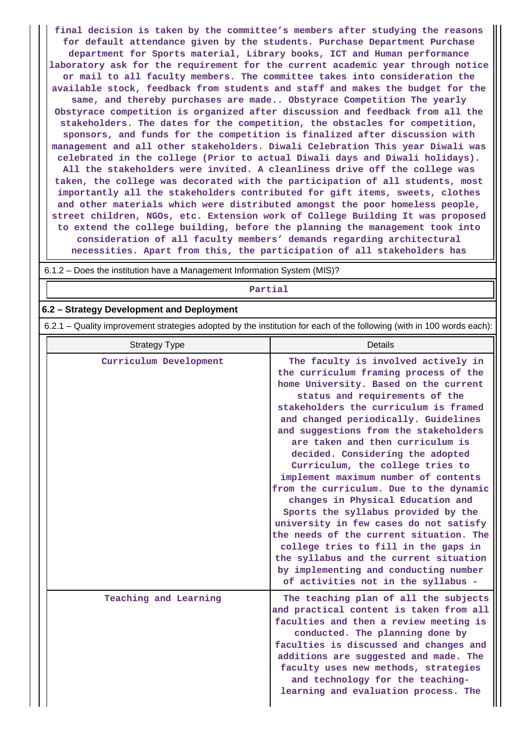**final decision is taken by the committee's members after studying the reasons for default attendance given by the students. Purchase Department Purchase department for Sports material, Library books, ICT and Human performance laboratory ask for the requirement for the current academic year through notice or mail to all faculty members. The committee takes into consideration the available stock, feedback from students and staff and makes the budget for the same, and thereby purchases are made.. Obstyrace Competition The yearly Obstyrace competition is organized after discussion and feedback from all the stakeholders. The dates for the competition, the obstacles for competition, sponsors, and funds for the competition is finalized after discussion with management and all other stakeholders. Diwali Celebration This year Diwali was celebrated in the college (Prior to actual Diwali days and Diwali holidays). All the stakeholders were invited. A cleanliness drive off the college was taken, the college was decorated with the participation of all students, most importantly all the stakeholders contributed for gift items, sweets, clothes and other materials which were distributed amongst the poor homeless people, street children, NGOs, etc. Extension work of College Building It was proposed to extend the college building, before the planning the management took into consideration of all faculty members' demands regarding architectural necessities. Apart from this, the participation of all stakeholders has**

6.1.2 – Does the institution have a Management Information System (MIS)?

**Partial**

#### **6.2 – Strategy Development and Deployment**

6.2.1 – Quality improvement strategies adopted by the institution for each of the following (with in 100 words each):

| <b>Strategy Type</b>   | Details                                                                                                                                                                                                                                                                                                                                                                                                                                                                                                                                                                                                                                                                                                                                                                                                             |
|------------------------|---------------------------------------------------------------------------------------------------------------------------------------------------------------------------------------------------------------------------------------------------------------------------------------------------------------------------------------------------------------------------------------------------------------------------------------------------------------------------------------------------------------------------------------------------------------------------------------------------------------------------------------------------------------------------------------------------------------------------------------------------------------------------------------------------------------------|
| Curriculum Development | The faculty is involved actively in<br>the curriculum framing process of the<br>home University. Based on the current<br>status and requirements of the<br>stakeholders the curriculum is framed<br>and changed periodically. Guidelines<br>and suggestions from the stakeholders<br>are taken and then curriculum is<br>decided. Considering the adopted<br>Curriculum, the college tries to<br>implement maximum number of contents<br>from the curriculum. Due to the dynamic<br>changes in Physical Education and<br>Sports the syllabus provided by the<br>university in few cases do not satisfy<br>the needs of the current situation. The<br>college tries to fill in the gaps in<br>the syllabus and the current situation<br>by implementing and conducting number<br>of activities not in the syllabus - |
| Teaching and Learning  | The teaching plan of all the subjects<br>and practical content is taken from all<br>faculties and then a review meeting is<br>conducted. The planning done by<br>faculties is discussed and changes and<br>additions are suggested and made. The<br>faculty uses new methods, strategies<br>and technology for the teaching-<br>learning and evaluation process. The                                                                                                                                                                                                                                                                                                                                                                                                                                                |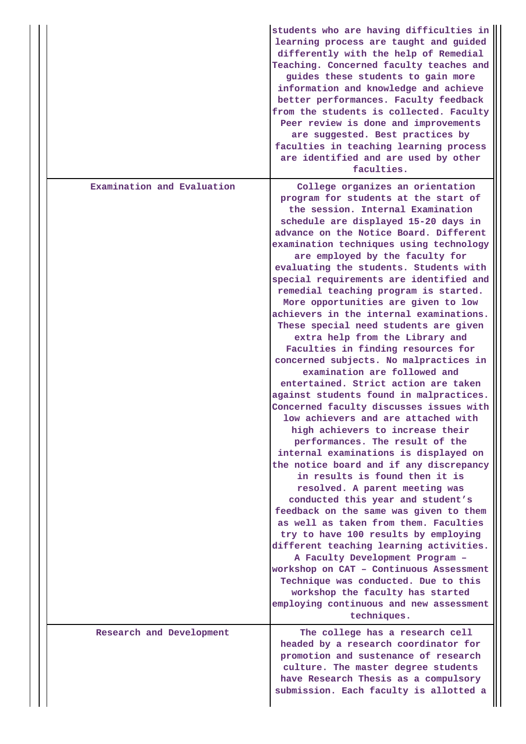|                            | students who are having difficulties in<br>learning process are taught and guided<br>differently with the help of Remedial<br>Teaching. Concerned faculty teaches and<br>guides these students to gain more<br>information and knowledge and achieve<br>better performances. Faculty feedback<br>from the students is collected. Faculty<br>Peer review is done and improvements<br>are suggested. Best practices by<br>faculties in teaching learning process<br>are identified and are used by other<br>faculties.                                                                                                                                                                                                                                                                                                                                                                                                                                                                                                                                                                                                                                                                                                                                                                                                                                                                                                                                                                                          |
|----------------------------|---------------------------------------------------------------------------------------------------------------------------------------------------------------------------------------------------------------------------------------------------------------------------------------------------------------------------------------------------------------------------------------------------------------------------------------------------------------------------------------------------------------------------------------------------------------------------------------------------------------------------------------------------------------------------------------------------------------------------------------------------------------------------------------------------------------------------------------------------------------------------------------------------------------------------------------------------------------------------------------------------------------------------------------------------------------------------------------------------------------------------------------------------------------------------------------------------------------------------------------------------------------------------------------------------------------------------------------------------------------------------------------------------------------------------------------------------------------------------------------------------------------|
| Examination and Evaluation | College organizes an orientation<br>program for students at the start of<br>the session. Internal Examination<br>schedule are displayed 15-20 days in<br>advance on the Notice Board. Different<br>examination techniques using technology<br>are employed by the faculty for<br>evaluating the students. Students with<br>special requirements are identified and<br>remedial teaching program is started.<br>More opportunities are given to low<br>achievers in the internal examinations.<br>These special need students are given<br>extra help from the Library and<br>Faculties in finding resources for<br>concerned subjects. No malpractices in<br>examination are followed and<br>entertained. Strict action are taken<br>against students found in malpractices.<br>Concerned faculty discusses issues with<br>low achievers and are attached with<br>high achievers to increase their<br>performances. The result of the<br>internal examinations is displayed on<br>the notice board and if any discrepancy<br>in results is found then it is<br>resolved. A parent meeting was<br>conducted this year and student's<br>feedback on the same was given to them<br>as well as taken from them. Faculties<br>try to have 100 results by employing<br>different teaching learning activities.<br>A Faculty Development Program -<br>workshop on CAT - Continuous Assessment<br>Technique was conducted. Due to this<br>workshop the faculty has started<br>employing continuous and new assessment |
| Research and Development   | techniques.<br>The college has a research cell<br>headed by a research coordinator for<br>promotion and sustenance of research<br>culture. The master degree students<br>have Research Thesis as a compulsory<br>submission. Each faculty is allotted a                                                                                                                                                                                                                                                                                                                                                                                                                                                                                                                                                                                                                                                                                                                                                                                                                                                                                                                                                                                                                                                                                                                                                                                                                                                       |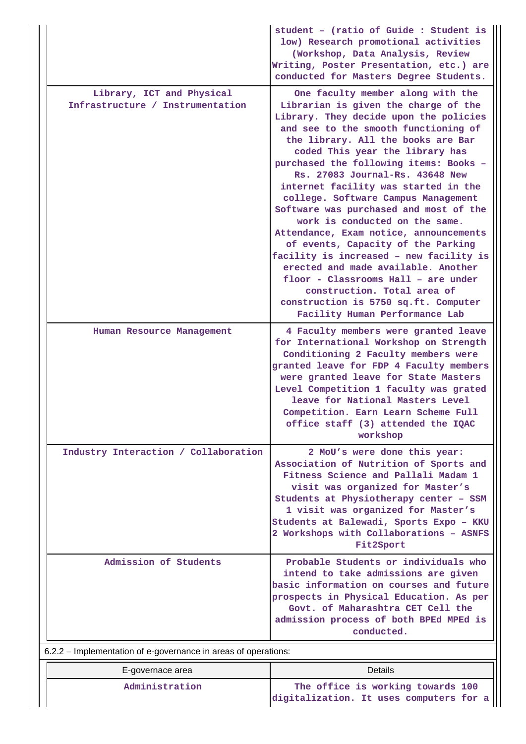|                                                                | student - (ratio of Guide : Student is<br>low) Research promotional activities<br>(Workshop, Data Analysis, Review<br>Writing, Poster Presentation, etc.) are<br>conducted for Masters Degree Students.                                                                                                                                                                                                                                                                                                                                                                                                                                                                                                                                                                                        |
|----------------------------------------------------------------|------------------------------------------------------------------------------------------------------------------------------------------------------------------------------------------------------------------------------------------------------------------------------------------------------------------------------------------------------------------------------------------------------------------------------------------------------------------------------------------------------------------------------------------------------------------------------------------------------------------------------------------------------------------------------------------------------------------------------------------------------------------------------------------------|
| Library, ICT and Physical<br>Infrastructure / Instrumentation  | One faculty member along with the<br>Librarian is given the charge of the<br>Library. They decide upon the policies<br>and see to the smooth functioning of<br>the library. All the books are Bar<br>coded This year the library has<br>purchased the following items: Books -<br>Rs. 27083 Journal-Rs. 43648 New<br>internet facility was started in the<br>college. Software Campus Management<br>Software was purchased and most of the<br>work is conducted on the same.<br>Attendance, Exam notice, announcements<br>of events, Capacity of the Parking<br>facility is increased - new facility is<br>erected and made available. Another<br>floor - Classrooms Hall - are under<br>construction. Total area of<br>construction is 5750 sq.ft. Computer<br>Facility Human Performance Lab |
| Human Resource Management                                      | 4 Faculty members were granted leave<br>for International Workshop on Strength<br>Conditioning 2 Faculty members were<br>granted leave for FDP 4 Faculty members<br>were granted leave for State Masters<br>Level Competition 1 faculty was grated<br>leave for National Masters Level<br>Competition. Earn Learn Scheme Full<br>office staff (3) attended the IQAC<br>workshop                                                                                                                                                                                                                                                                                                                                                                                                                |
| Industry Interaction / Collaboration                           | 2 MoU's were done this year:<br>Association of Nutrition of Sports and<br>Fitness Science and Pallali Madam 1<br>visit was organized for Master's<br>Students at Physiotherapy center - SSM<br>1 visit was organized for Master's<br>Students at Balewadi, Sports Expo - KKU<br>2 Workshops with Collaborations - ASNFS<br>Fit2Sport                                                                                                                                                                                                                                                                                                                                                                                                                                                           |
| Admission of Students                                          | Probable Students or individuals who<br>intend to take admissions are given<br>basic information on courses and future<br>prospects in Physical Education. As per<br>Govt. of Maharashtra CET Cell the<br>admission process of both BPEd MPEd is<br>conducted.                                                                                                                                                                                                                                                                                                                                                                                                                                                                                                                                 |
| 6.2.2 – Implementation of e-governance in areas of operations: |                                                                                                                                                                                                                                                                                                                                                                                                                                                                                                                                                                                                                                                                                                                                                                                                |
| E-governace area                                               | <b>Details</b>                                                                                                                                                                                                                                                                                                                                                                                                                                                                                                                                                                                                                                                                                                                                                                                 |
| Administration                                                 | The office is working towards 100<br>digitalization. It uses computers for a                                                                                                                                                                                                                                                                                                                                                                                                                                                                                                                                                                                                                                                                                                                   |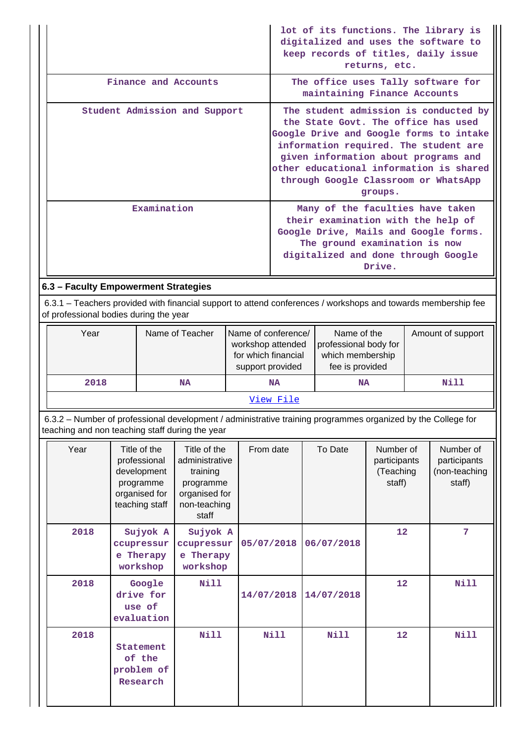|                                                                                                                                                                 |                                                                                             |                                                                                                   |            |                                                                                     | keep records of titles, daily issue                                                                                                            | returns, etc.                                    | lot of its functions. The library is<br>digitalized and uses the software to                                                                                                                                                                         |
|-----------------------------------------------------------------------------------------------------------------------------------------------------------------|---------------------------------------------------------------------------------------------|---------------------------------------------------------------------------------------------------|------------|-------------------------------------------------------------------------------------|------------------------------------------------------------------------------------------------------------------------------------------------|--------------------------------------------------|------------------------------------------------------------------------------------------------------------------------------------------------------------------------------------------------------------------------------------------------------|
|                                                                                                                                                                 |                                                                                             | Finance and Accounts                                                                              |            |                                                                                     | maintaining Finance Accounts                                                                                                                   |                                                  | The office uses Tally software for                                                                                                                                                                                                                   |
|                                                                                                                                                                 |                                                                                             | Student Admission and Support                                                                     |            |                                                                                     | the State Govt. The office has used                                                                                                            | groups.                                          | The student admission is conducted by<br>Google Drive and Google forms to intake<br>information required. The student are<br>given information about programs and<br>other educational information is shared<br>through Google Classroom or WhatsApp |
|                                                                                                                                                                 | Examination                                                                                 |                                                                                                   |            |                                                                                     | Many of the faculties have taken<br>their examination with the help of<br>The ground examination is now<br>digitalized and done through Google | Drive.                                           | Google Drive, Mails and Google forms.                                                                                                                                                                                                                |
| 6.3 - Faculty Empowerment Strategies                                                                                                                            |                                                                                             |                                                                                                   |            |                                                                                     |                                                                                                                                                |                                                  |                                                                                                                                                                                                                                                      |
| 6.3.1 – Teachers provided with financial support to attend conferences / workshops and towards membership fee<br>of professional bodies during the year         |                                                                                             |                                                                                                   |            |                                                                                     |                                                                                                                                                |                                                  |                                                                                                                                                                                                                                                      |
| Year                                                                                                                                                            |                                                                                             | Name of Teacher                                                                                   |            | Name of conference/<br>workshop attended<br>for which financial<br>support provided | Name of the<br>professional body for<br>which membership<br>fee is provided                                                                    |                                                  | Amount of support                                                                                                                                                                                                                                    |
| 2018                                                                                                                                                            |                                                                                             | <b>NA</b>                                                                                         |            | <b>NA</b>                                                                           | <b>NA</b>                                                                                                                                      |                                                  | <b>Nill</b>                                                                                                                                                                                                                                          |
|                                                                                                                                                                 |                                                                                             |                                                                                                   |            | View File                                                                           |                                                                                                                                                |                                                  |                                                                                                                                                                                                                                                      |
| 6.3.2 - Number of professional development / administrative training programmes organized by the College for<br>teaching and non teaching staff during the year |                                                                                             |                                                                                                   |            |                                                                                     |                                                                                                                                                |                                                  |                                                                                                                                                                                                                                                      |
| Year                                                                                                                                                            | Title of the<br>professional<br>development<br>programme<br>organised for<br>teaching staff | Title of the<br>administrative<br>training<br>programme<br>organised for<br>non-teaching<br>staff | From date  |                                                                                     | To Date                                                                                                                                        | Number of<br>participants<br>(Teaching<br>staff) | Number of<br>participants<br>(non-teaching<br>staff)                                                                                                                                                                                                 |
| 2018                                                                                                                                                            | Sujyok A<br>ccupressur<br>e Therapy<br>workshop                                             | Sujyok A<br>ccupressur<br>e Therapy<br>workshop                                                   | 05/07/2018 |                                                                                     | 06/07/2018                                                                                                                                     | 12                                               | 7                                                                                                                                                                                                                                                    |
| 2018                                                                                                                                                            | Google<br>drive for<br>use of<br>evaluation                                                 | <b>Nill</b>                                                                                       | 14/07/2018 |                                                                                     | 14/07/2018                                                                                                                                     | 12                                               | <b>Nill</b>                                                                                                                                                                                                                                          |
| 2018                                                                                                                                                            | Statement<br>of the<br>problem of<br>Research                                               | <b>Nill</b>                                                                                       |            | <b>Nill</b>                                                                         | <b>Nill</b>                                                                                                                                    | 12                                               | <b>Nill</b>                                                                                                                                                                                                                                          |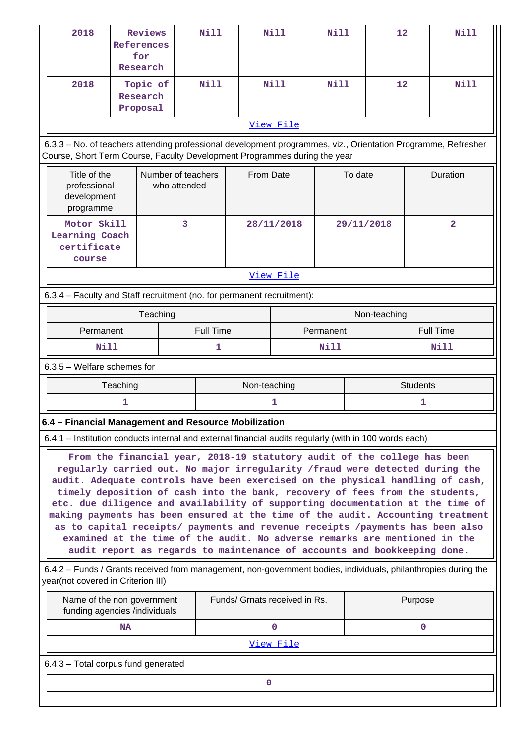| 2018                                                                                                                                                                                                                                                                                                                                                                                                                                                                                                                                                                                                                                                                                                                                        | Reviews<br><b>References</b><br>for<br>Research |                                    | <b>Nill</b> |                               | <b>Nill</b> | Nill |                  | 12              | <b>Nill</b>    |
|---------------------------------------------------------------------------------------------------------------------------------------------------------------------------------------------------------------------------------------------------------------------------------------------------------------------------------------------------------------------------------------------------------------------------------------------------------------------------------------------------------------------------------------------------------------------------------------------------------------------------------------------------------------------------------------------------------------------------------------------|-------------------------------------------------|------------------------------------|-------------|-------------------------------|-------------|------|------------------|-----------------|----------------|
| 2018                                                                                                                                                                                                                                                                                                                                                                                                                                                                                                                                                                                                                                                                                                                                        | Topic of<br>Research<br>Proposal                |                                    | Nill        |                               | <b>Nill</b> | Nill |                  | 12              | <b>Nill</b>    |
|                                                                                                                                                                                                                                                                                                                                                                                                                                                                                                                                                                                                                                                                                                                                             |                                                 |                                    |             |                               | View File   |      |                  |                 |                |
| 6.3.3 - No. of teachers attending professional development programmes, viz., Orientation Programme, Refresher<br>Course, Short Term Course, Faculty Development Programmes during the year                                                                                                                                                                                                                                                                                                                                                                                                                                                                                                                                                  |                                                 |                                    |             |                               |             |      |                  |                 |                |
| Title of the<br>professional<br>development<br>programme                                                                                                                                                                                                                                                                                                                                                                                                                                                                                                                                                                                                                                                                                    |                                                 | Number of teachers<br>who attended |             | From Date                     |             |      | To date          |                 | Duration       |
| Motor Skill<br>Learning Coach<br>certificate<br>course                                                                                                                                                                                                                                                                                                                                                                                                                                                                                                                                                                                                                                                                                      |                                                 | 3                                  |             |                               | 28/11/2018  |      | 29/11/2018       |                 | $\overline{2}$ |
|                                                                                                                                                                                                                                                                                                                                                                                                                                                                                                                                                                                                                                                                                                                                             |                                                 |                                    |             |                               | View File   |      |                  |                 |                |
| 6.3.4 - Faculty and Staff recruitment (no. for permanent recruitment):                                                                                                                                                                                                                                                                                                                                                                                                                                                                                                                                                                                                                                                                      |                                                 |                                    |             |                               |             |      |                  |                 |                |
|                                                                                                                                                                                                                                                                                                                                                                                                                                                                                                                                                                                                                                                                                                                                             |                                                 | Teaching                           |             |                               |             |      |                  | Non-teaching    |                |
| Permanent                                                                                                                                                                                                                                                                                                                                                                                                                                                                                                                                                                                                                                                                                                                                   |                                                 |                                    | Full Time   | Permanent                     |             |      | <b>Full Time</b> |                 |                |
| Nill                                                                                                                                                                                                                                                                                                                                                                                                                                                                                                                                                                                                                                                                                                                                        |                                                 |                                    | 1           |                               |             | Nill |                  |                 | Nill           |
| 6.3.5 - Welfare schemes for                                                                                                                                                                                                                                                                                                                                                                                                                                                                                                                                                                                                                                                                                                                 |                                                 |                                    |             |                               |             |      |                  |                 |                |
|                                                                                                                                                                                                                                                                                                                                                                                                                                                                                                                                                                                                                                                                                                                                             | Teaching                                        |                                    |             | Non-teaching                  |             |      |                  | <b>Students</b> |                |
|                                                                                                                                                                                                                                                                                                                                                                                                                                                                                                                                                                                                                                                                                                                                             | 1                                               |                                    |             |                               | 1           |      |                  | 1               |                |
| 6.4 – Financial Management and Resource Mobilization                                                                                                                                                                                                                                                                                                                                                                                                                                                                                                                                                                                                                                                                                        |                                                 |                                    |             |                               |             |      |                  |                 |                |
| 6.4.1 – Institution conducts internal and external financial audits regularly (with in 100 words each)                                                                                                                                                                                                                                                                                                                                                                                                                                                                                                                                                                                                                                      |                                                 |                                    |             |                               |             |      |                  |                 |                |
| From the financial year, 2018-19 statutory audit of the college has been<br>regularly carried out. No major irregularity / fraud were detected during the<br>audit. Adequate controls have been exercised on the physical handling of cash,<br>timely deposition of cash into the bank, recovery of fees from the students,<br>etc. due diligence and availability of supporting documentation at the time of<br>making payments has been ensured at the time of the audit. Accounting treatment<br>as to capital receipts/ payments and revenue receipts /payments has been also<br>examined at the time of the audit. No adverse remarks are mentioned in the<br>audit report as regards to maintenance of accounts and bookkeeping done. |                                                 |                                    |             |                               |             |      |                  |                 |                |
| 6.4.2 – Funds / Grants received from management, non-government bodies, individuals, philanthropies during the<br>year(not covered in Criterion III)                                                                                                                                                                                                                                                                                                                                                                                                                                                                                                                                                                                        |                                                 |                                    |             |                               |             |      |                  |                 |                |
| Name of the non government<br>funding agencies /individuals                                                                                                                                                                                                                                                                                                                                                                                                                                                                                                                                                                                                                                                                                 |                                                 |                                    |             | Funds/ Grnats received in Rs. |             |      |                  | Purpose         |                |
|                                                                                                                                                                                                                                                                                                                                                                                                                                                                                                                                                                                                                                                                                                                                             | <b>NA</b>                                       |                                    |             |                               | $\mathbf 0$ |      |                  | $\mathbf{0}$    |                |
|                                                                                                                                                                                                                                                                                                                                                                                                                                                                                                                                                                                                                                                                                                                                             |                                                 |                                    |             |                               | View File   |      |                  |                 |                |
| 6.4.3 - Total corpus fund generated                                                                                                                                                                                                                                                                                                                                                                                                                                                                                                                                                                                                                                                                                                         |                                                 |                                    |             |                               |             |      |                  |                 |                |
|                                                                                                                                                                                                                                                                                                                                                                                                                                                                                                                                                                                                                                                                                                                                             |                                                 |                                    |             | 0                             |             |      |                  |                 |                |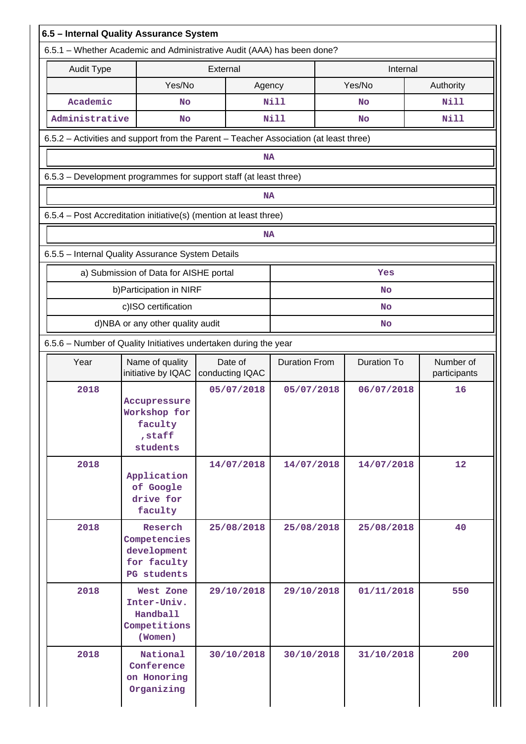|                   | 6.5 - Internal Quality Assurance System                                | 6.5.1 - Whether Academic and Administrative Audit (AAA) has been done? |                                                                                       |                    |                           |
|-------------------|------------------------------------------------------------------------|------------------------------------------------------------------------|---------------------------------------------------------------------------------------|--------------------|---------------------------|
| <b>Audit Type</b> |                                                                        | External                                                               |                                                                                       | Internal           |                           |
|                   | Yes/No                                                                 | Agency                                                                 |                                                                                       | Yes/No             | Authority                 |
| Academic          | No                                                                     |                                                                        | Nill                                                                                  | No                 | Nill                      |
| Administrative    | <b>No</b>                                                              |                                                                        | Nill                                                                                  | <b>No</b>          | Nill                      |
|                   |                                                                        |                                                                        | 6.5.2 - Activities and support from the Parent - Teacher Association (at least three) |                    |                           |
|                   |                                                                        | <b>NA</b>                                                              |                                                                                       |                    |                           |
|                   |                                                                        | 6.5.3 - Development programmes for support staff (at least three)      |                                                                                       |                    |                           |
|                   |                                                                        | <b>NA</b>                                                              |                                                                                       |                    |                           |
|                   |                                                                        | 6.5.4 - Post Accreditation initiative(s) (mention at least three)      |                                                                                       |                    |                           |
|                   |                                                                        | <b>NA</b>                                                              |                                                                                       |                    |                           |
|                   | 6.5.5 - Internal Quality Assurance System Details                      |                                                                        |                                                                                       |                    |                           |
|                   | a) Submission of Data for AISHE portal                                 |                                                                        |                                                                                       | Yes                |                           |
|                   | b) Participation in NIRF                                               |                                                                        |                                                                                       | <b>No</b>          |                           |
|                   | c)ISO certification                                                    |                                                                        |                                                                                       | <b>No</b>          |                           |
|                   | d)NBA or any other quality audit                                       |                                                                        |                                                                                       | <b>No</b>          |                           |
|                   |                                                                        | 6.5.6 - Number of Quality Initiatives undertaken during the year       |                                                                                       |                    |                           |
| Year              | Name of quality<br>initiative by IQAC                                  | Date of<br>conducting IQAC                                             | <b>Duration From</b>                                                                  | <b>Duration To</b> | Number of<br>participants |
| 2018              | Accupressure<br>Workshop for<br>faculty<br>, staff<br>students         | 05/07/2018                                                             | 05/07/2018                                                                            | 06/07/2018         | 16                        |
| 2018              | Application<br>of Google<br>drive for<br>faculty                       | 14/07/2018                                                             | 14/07/2018                                                                            | 14/07/2018         | 12                        |
| 2018              | Reserch<br>Competencies<br>development<br>for faculty<br>PG students   | 25/08/2018                                                             | 25/08/2018                                                                            | 25/08/2018         | 40                        |
| 2018              | West Zone<br>Inter-Univ.<br><b>Handball</b><br>Competitions<br>(Women) | 29/10/2018                                                             | 29/10/2018                                                                            | 01/11/2018         | 550                       |
| 2018              | National<br>Conference<br>on Honoring<br>Organizing                    | 30/10/2018                                                             | 30/10/2018                                                                            | 31/10/2018         | 200                       |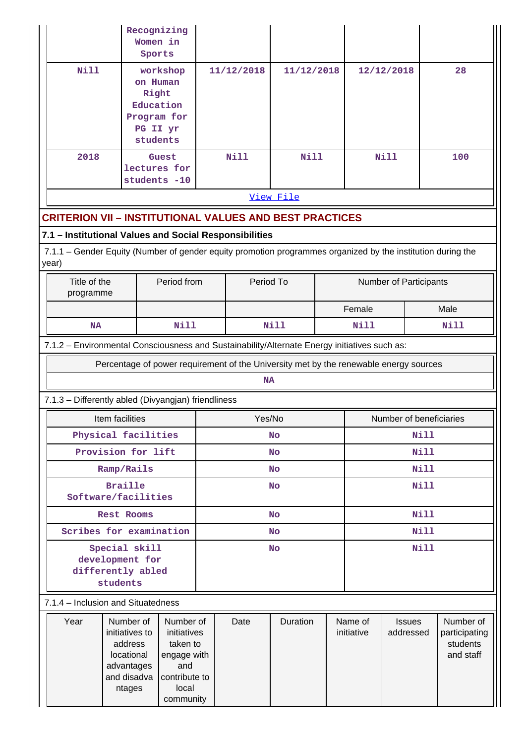|                                                                                                                      |                                                                                             | Recognizing<br>Women in<br>Sports                                                                 |           |            |                         |                        |                       |                            |             |                                                     |  |  |
|----------------------------------------------------------------------------------------------------------------------|---------------------------------------------------------------------------------------------|---------------------------------------------------------------------------------------------------|-----------|------------|-------------------------|------------------------|-----------------------|----------------------------|-------------|-----------------------------------------------------|--|--|
| <b>Nill</b>                                                                                                          |                                                                                             | workshop<br>on Human<br>Right<br>Education<br>Program for<br>PG II yr<br>students                 |           | 11/12/2018 | 11/12/2018              |                        | 12/12/2018            |                            | 28          |                                                     |  |  |
| 2018                                                                                                                 |                                                                                             | Guest<br>lectures for<br>students -10                                                             |           | Nill       | <b>Nill</b>             |                        | <b>Nill</b>           |                            | 100         |                                                     |  |  |
| View File                                                                                                            |                                                                                             |                                                                                                   |           |            |                         |                        |                       |                            |             |                                                     |  |  |
| <b>CRITERION VII - INSTITUTIONAL VALUES AND BEST PRACTICES</b>                                                       |                                                                                             |                                                                                                   |           |            |                         |                        |                       |                            |             |                                                     |  |  |
| 7.1 - Institutional Values and Social Responsibilities                                                               |                                                                                             |                                                                                                   |           |            |                         |                        |                       |                            |             |                                                     |  |  |
| 7.1.1 - Gender Equity (Number of gender equity promotion programmes organized by the institution during the<br>year) |                                                                                             |                                                                                                   |           |            |                         |                        |                       |                            |             |                                                     |  |  |
|                                                                                                                      | Title of the<br>Period from<br>programme                                                    |                                                                                                   | Period To |            |                         | Number of Participants |                       |                            |             |                                                     |  |  |
|                                                                                                                      |                                                                                             |                                                                                                   |           |            |                         | Female                 |                       |                            | Male        |                                                     |  |  |
|                                                                                                                      | <b>Nill</b><br><b>NA</b>                                                                    |                                                                                                   |           | Nill       |                         |                        | Nill                  |                            |             | Nill                                                |  |  |
| 7.1.2 - Environmental Consciousness and Sustainability/Alternate Energy initiatives such as:                         |                                                                                             |                                                                                                   |           |            |                         |                        |                       |                            |             |                                                     |  |  |
|                                                                                                                      | Percentage of power requirement of the University met by the renewable energy sources       |                                                                                                   |           | <b>NA</b>  |                         |                        |                       |                            |             |                                                     |  |  |
| 7.1.3 - Differently abled (Divyangjan) friendliness                                                                  |                                                                                             |                                                                                                   |           |            |                         |                        |                       |                            |             |                                                     |  |  |
|                                                                                                                      | Yes/No                                                                                      |                                                                                                   |           |            | Number of beneficiaries |                        |                       |                            |             |                                                     |  |  |
| Item facilities<br>Physical facilities                                                                               |                                                                                             |                                                                                                   |           | <b>No</b>  |                         | Nill                   |                       |                            |             |                                                     |  |  |
| Provision for lift                                                                                                   |                                                                                             |                                                                                                   | <b>No</b> |            |                         |                        | Nill                  |                            |             |                                                     |  |  |
| Ramp/Rails                                                                                                           |                                                                                             |                                                                                                   |           | <b>No</b>  |                         | <b>Nill</b>            |                       |                            |             |                                                     |  |  |
| Software/facilities                                                                                                  | <b>No</b>                                                                                   |                                                                                                   |           |            | Nill                    |                        |                       |                            |             |                                                     |  |  |
|                                                                                                                      | Rest Rooms                                                                                  |                                                                                                   |           |            | <b>No</b>               |                        |                       |                            | <b>Nill</b> |                                                     |  |  |
|                                                                                                                      | Scribes for examination                                                                     |                                                                                                   |           |            | <b>No</b>               |                        |                       |                            | <b>Nill</b> |                                                     |  |  |
| Special skill<br>development for<br>differently abled<br>students                                                    | <b>No</b>                                                                                   |                                                                                                   |           |            | <b>Nill</b>             |                        |                       |                            |             |                                                     |  |  |
| 7.1.4 - Inclusion and Situatedness                                                                                   |                                                                                             |                                                                                                   |           |            |                         |                        |                       |                            |             |                                                     |  |  |
| Year                                                                                                                 | Number of<br>initiatives to<br>address<br>locational<br>advantages<br>and disadva<br>ntages | Number of<br>initiatives<br>taken to<br>engage with<br>and<br>contribute to<br>local<br>community |           | Date       | Duration                |                        | Name of<br>initiative | <b>Issues</b><br>addressed |             | Number of<br>participating<br>students<br>and staff |  |  |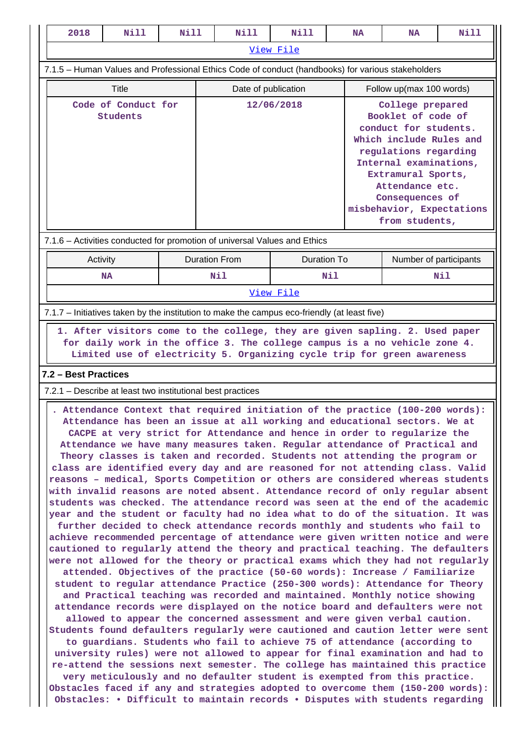| 2018<br>Nill                                                                                                                                                                                                                                                                                                                                                                                                                                                                                                                                                                                                                                                                                                                                                                                                                                                                                                                                                                                                                                                                                                                                                                                                                                                                                                                                                                                                                                                                                                                                                                                                                                                                                                                                                                                                                                                                                                                                                                                                                                                                                 | Nill                                                       | Nill                        |            | <b>Nill</b>        |                                                                                                                                                                                                                                                          | <b>NA</b>                | <b>NA</b>                     | <b>Nill</b> |  |  |
|----------------------------------------------------------------------------------------------------------------------------------------------------------------------------------------------------------------------------------------------------------------------------------------------------------------------------------------------------------------------------------------------------------------------------------------------------------------------------------------------------------------------------------------------------------------------------------------------------------------------------------------------------------------------------------------------------------------------------------------------------------------------------------------------------------------------------------------------------------------------------------------------------------------------------------------------------------------------------------------------------------------------------------------------------------------------------------------------------------------------------------------------------------------------------------------------------------------------------------------------------------------------------------------------------------------------------------------------------------------------------------------------------------------------------------------------------------------------------------------------------------------------------------------------------------------------------------------------------------------------------------------------------------------------------------------------------------------------------------------------------------------------------------------------------------------------------------------------------------------------------------------------------------------------------------------------------------------------------------------------------------------------------------------------------------------------------------------------|------------------------------------------------------------|-----------------------------|------------|--------------------|----------------------------------------------------------------------------------------------------------------------------------------------------------------------------------------------------------------------------------------------------------|--------------------------|-------------------------------|-------------|--|--|
|                                                                                                                                                                                                                                                                                                                                                                                                                                                                                                                                                                                                                                                                                                                                                                                                                                                                                                                                                                                                                                                                                                                                                                                                                                                                                                                                                                                                                                                                                                                                                                                                                                                                                                                                                                                                                                                                                                                                                                                                                                                                                              |                                                            |                             |            | View File          |                                                                                                                                                                                                                                                          |                          |                               |             |  |  |
| 7.1.5 - Human Values and Professional Ethics Code of conduct (handbooks) for various stakeholders                                                                                                                                                                                                                                                                                                                                                                                                                                                                                                                                                                                                                                                                                                                                                                                                                                                                                                                                                                                                                                                                                                                                                                                                                                                                                                                                                                                                                                                                                                                                                                                                                                                                                                                                                                                                                                                                                                                                                                                            |                                                            |                             |            |                    |                                                                                                                                                                                                                                                          |                          |                               |             |  |  |
| Title                                                                                                                                                                                                                                                                                                                                                                                                                                                                                                                                                                                                                                                                                                                                                                                                                                                                                                                                                                                                                                                                                                                                                                                                                                                                                                                                                                                                                                                                                                                                                                                                                                                                                                                                                                                                                                                                                                                                                                                                                                                                                        |                                                            | Date of publication         |            |                    |                                                                                                                                                                                                                                                          | Follow up(max 100 words) |                               |             |  |  |
| Code of Conduct for<br>Students                                                                                                                                                                                                                                                                                                                                                                                                                                                                                                                                                                                                                                                                                                                                                                                                                                                                                                                                                                                                                                                                                                                                                                                                                                                                                                                                                                                                                                                                                                                                                                                                                                                                                                                                                                                                                                                                                                                                                                                                                                                              |                                                            |                             | 12/06/2018 |                    | College prepared<br>Booklet of code of<br>conduct for students.<br>Which include Rules and<br>regulations regarding<br>Internal examinations,<br>Extramural Sports,<br>Attendance etc.<br>Consequences of<br>misbehavior, Expectations<br>from students, |                          |                               |             |  |  |
| 7.1.6 - Activities conducted for promotion of universal Values and Ethics                                                                                                                                                                                                                                                                                                                                                                                                                                                                                                                                                                                                                                                                                                                                                                                                                                                                                                                                                                                                                                                                                                                                                                                                                                                                                                                                                                                                                                                                                                                                                                                                                                                                                                                                                                                                                                                                                                                                                                                                                    |                                                            |                             |            |                    |                                                                                                                                                                                                                                                          |                          |                               |             |  |  |
| Activity<br><b>NA</b>                                                                                                                                                                                                                                                                                                                                                                                                                                                                                                                                                                                                                                                                                                                                                                                                                                                                                                                                                                                                                                                                                                                                                                                                                                                                                                                                                                                                                                                                                                                                                                                                                                                                                                                                                                                                                                                                                                                                                                                                                                                                        |                                                            | <b>Duration From</b><br>Nil |            | <b>Duration To</b> | Nil                                                                                                                                                                                                                                                      |                          | Number of participants<br>Nil |             |  |  |
|                                                                                                                                                                                                                                                                                                                                                                                                                                                                                                                                                                                                                                                                                                                                                                                                                                                                                                                                                                                                                                                                                                                                                                                                                                                                                                                                                                                                                                                                                                                                                                                                                                                                                                                                                                                                                                                                                                                                                                                                                                                                                              |                                                            |                             |            | View File          |                                                                                                                                                                                                                                                          |                          |                               |             |  |  |
| 7.1.7 - Initiatives taken by the institution to make the campus eco-friendly (at least five)                                                                                                                                                                                                                                                                                                                                                                                                                                                                                                                                                                                                                                                                                                                                                                                                                                                                                                                                                                                                                                                                                                                                                                                                                                                                                                                                                                                                                                                                                                                                                                                                                                                                                                                                                                                                                                                                                                                                                                                                 |                                                            |                             |            |                    |                                                                                                                                                                                                                                                          |                          |                               |             |  |  |
| 1. After visitors come to the college, they are given sapling. 2. Used paper<br>for daily work in the office 3. The college campus is a no vehicle zone 4.<br>Limited use of electricity 5. Organizing cycle trip for green awareness<br>7.2 - Best Practices                                                                                                                                                                                                                                                                                                                                                                                                                                                                                                                                                                                                                                                                                                                                                                                                                                                                                                                                                                                                                                                                                                                                                                                                                                                                                                                                                                                                                                                                                                                                                                                                                                                                                                                                                                                                                                |                                                            |                             |            |                    |                                                                                                                                                                                                                                                          |                          |                               |             |  |  |
|                                                                                                                                                                                                                                                                                                                                                                                                                                                                                                                                                                                                                                                                                                                                                                                                                                                                                                                                                                                                                                                                                                                                                                                                                                                                                                                                                                                                                                                                                                                                                                                                                                                                                                                                                                                                                                                                                                                                                                                                                                                                                              | 7.2.1 – Describe at least two institutional best practices |                             |            |                    |                                                                                                                                                                                                                                                          |                          |                               |             |  |  |
| . Attendance Context that required initiation of the practice (100-200 words):<br>Attendance has been an issue at all working and educational sectors. We at<br>CACPE at very strict for Attendance and hence in order to regularize the<br>Attendance we have many measures taken. Regular attendance of Practical and<br>Theory classes is taken and recorded. Students not attending the program or<br>class are identified every day and are reasoned for not attending class. Valid<br>reasons - medical, Sports Competition or others are considered whereas students<br>with invalid reasons are noted absent. Attendance record of only regular absent<br>students was checked. The attendance record was seen at the end of the academic<br>year and the student or faculty had no idea what to do of the situation. It was<br>further decided to check attendance records monthly and students who fail to<br>achieve recommended percentage of attendance were given written notice and were<br>cautioned to regularly attend the theory and practical teaching. The defaulters<br>were not allowed for the theory or practical exams which they had not regularly<br>attended. Objectives of the practice (50-60 words): Increase / Familiarize<br>student to regular attendance Practice (250-300 words): Attendance for Theory<br>and Practical teaching was recorded and maintained. Monthly notice showing<br>attendance records were displayed on the notice board and defaulters were not<br>allowed to appear the concerned assessment and were given verbal caution.<br>Students found defaulters regularly were cautioned and caution letter were sent<br>to guardians. Students who fail to achieve 75 of attendance (according to<br>university rules) were not allowed to appear for final examination and had to<br>re-attend the sessions next semester. The college has maintained this practice<br>very meticulously and no defaulter student is exempted from this practice.<br>Obstacles faced if any and strategies adopted to overcome them (150-200 words): |                                                            |                             |            |                    |                                                                                                                                                                                                                                                          |                          |                               |             |  |  |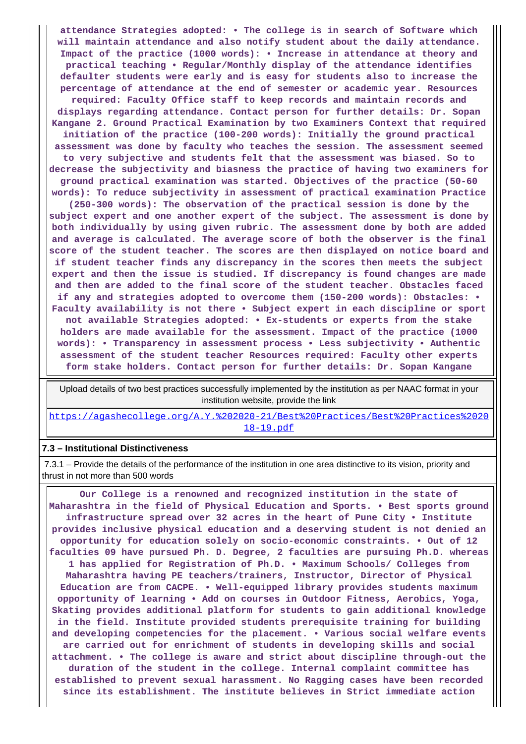**attendance Strategies adopted: • The college is in search of Software which will maintain attendance and also notify student about the daily attendance. Impact of the practice (1000 words): • Increase in attendance at theory and practical teaching • Regular/Monthly display of the attendance identifies defaulter students were early and is easy for students also to increase the percentage of attendance at the end of semester or academic year. Resources required: Faculty Office staff to keep records and maintain records and displays regarding attendance. Contact person for further details: Dr. Sopan Kangane 2. Ground Practical Examination by two Examiners Context that required initiation of the practice (100-200 words): Initially the ground practical assessment was done by faculty who teaches the session. The assessment seemed to very subjective and students felt that the assessment was biased. So to decrease the subjectivity and biasness the practice of having two examiners for ground practical examination was started. Objectives of the practice (50-60 words): To reduce subjectivity in assessment of practical examination Practice (250-300 words): The observation of the practical session is done by the subject expert and one another expert of the subject. The assessment is done by both individually by using given rubric. The assessment done by both are added and average is calculated. The average score of both the observer is the final score of the student teacher. The scores are then displayed on notice board and if student teacher finds any discrepancy in the scores then meets the subject expert and then the issue is studied. If discrepancy is found changes are made and then are added to the final score of the student teacher. Obstacles faced if any and strategies adopted to overcome them (150-200 words): Obstacles: • Faculty availability is not there • Subject expert in each discipline or sport not available Strategies adopted: • Ex-students or experts from the stake holders are made available for the assessment. Impact of the practice (1000 words): • Transparency in assessment process • Less subjectivity • Authentic assessment of the student teacher Resources required: Faculty other experts form stake holders. Contact person for further details: Dr. Sopan Kangane**

 Upload details of two best practices successfully implemented by the institution as per NAAC format in your institution website, provide the link

[https://agashecollege.org/A.Y.%202020-21/Best%20Practices/Best%20Practices%2020](https://agashecollege.org/A.Y.%202020-21/Best%20Practices/Best%20Practices%202018-19.pdf) [18-19.pdf](https://agashecollege.org/A.Y.%202020-21/Best%20Practices/Best%20Practices%202018-19.pdf)

#### **7.3 – Institutional Distinctiveness**

 7.3.1 – Provide the details of the performance of the institution in one area distinctive to its vision, priority and thrust in not more than 500 words

 **Our College is a renowned and recognized institution in the state of Maharashtra in the field of Physical Education and Sports. • Best sports ground infrastructure spread over 32 acres in the heart of Pune City • Institute provides inclusive physical education and a deserving student is not denied an opportunity for education solely on socio-economic constraints. • Out of 12 faculties 09 have pursued Ph. D. Degree, 2 faculties are pursuing Ph.D. whereas 1 has applied for Registration of Ph.D. • Maximum Schools/ Colleges from Maharashtra having PE teachers/trainers, Instructor, Director of Physical Education are from CACPE. • Well-equipped library provides students maximum opportunity of learning • Add on courses in Outdoor Fitness, Aerobics, Yoga, Skating provides additional platform for students to gain additional knowledge in the field. Institute provided students prerequisite training for building and developing competencies for the placement. • Various social welfare events are carried out for enrichment of students in developing skills and social attachment. • The college is aware and strict about discipline through-out the duration of the student in the college. Internal complaint committee has established to prevent sexual harassment. No Ragging cases have been recorded since its establishment. The institute believes in Strict immediate action**